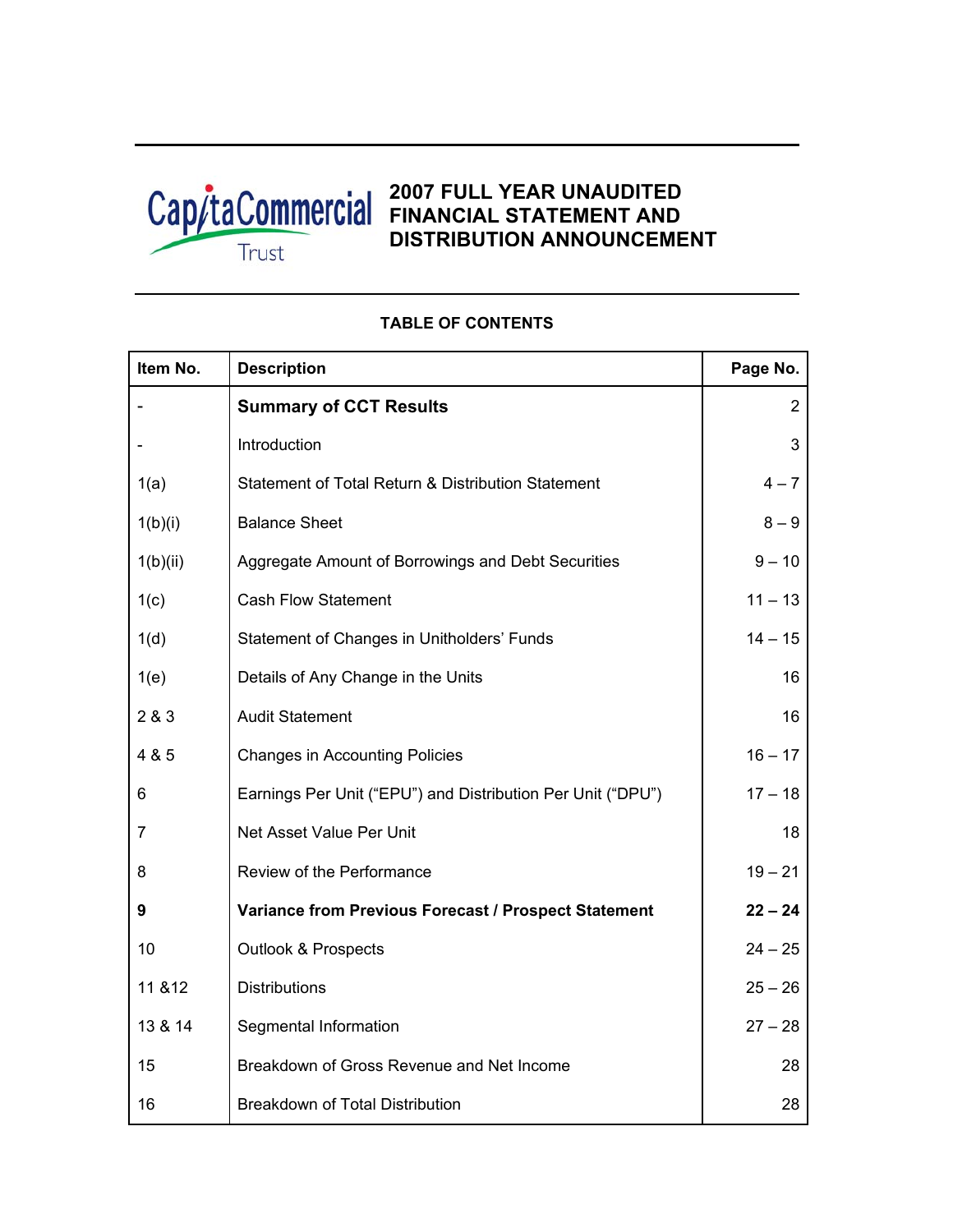

Т

# **2007 FULL YEAR UNAUDITED FINANCIAL STATEMENT AND DISTRIBUTION ANNOUNCEMENT**

| Item No.       | <b>Description</b>                                          | Page No.       |
|----------------|-------------------------------------------------------------|----------------|
|                | <b>Summary of CCT Results</b>                               | $\overline{2}$ |
|                | Introduction                                                | 3              |
| 1(a)           | Statement of Total Return & Distribution Statement          | $4 - 7$        |
| 1(b)(i)        | <b>Balance Sheet</b>                                        | $8 - 9$        |
| 1(b)(ii)       | Aggregate Amount of Borrowings and Debt Securities          | $9 - 10$       |
| 1(c)           | <b>Cash Flow Statement</b>                                  | $11 - 13$      |
| 1(d)           | Statement of Changes in Unitholders' Funds                  | $14 - 15$      |
| 1(e)           | Details of Any Change in the Units                          | 16             |
| 2 & 3          | <b>Audit Statement</b>                                      | 16             |
| 4 & 5          | <b>Changes in Accounting Policies</b>                       | $16 - 17$      |
| 6              | Earnings Per Unit ("EPU") and Distribution Per Unit ("DPU") | $17 - 18$      |
| $\overline{7}$ | Net Asset Value Per Unit                                    | 18             |
| 8              | Review of the Performance                                   | $19 - 21$      |
| 9              | Variance from Previous Forecast / Prospect Statement        | $22 - 24$      |
| 10             | <b>Outlook &amp; Prospects</b>                              | $24 - 25$      |
| 11 & 12        | <b>Distributions</b>                                        | $25 - 26$      |
| 13 & 14        | Segmental Information                                       | $27 - 28$      |
| 15             | Breakdown of Gross Revenue and Net Income                   | 28             |
| 16             | <b>Breakdown of Total Distribution</b>                      | 28             |

## **TABLE OF CONTENTS**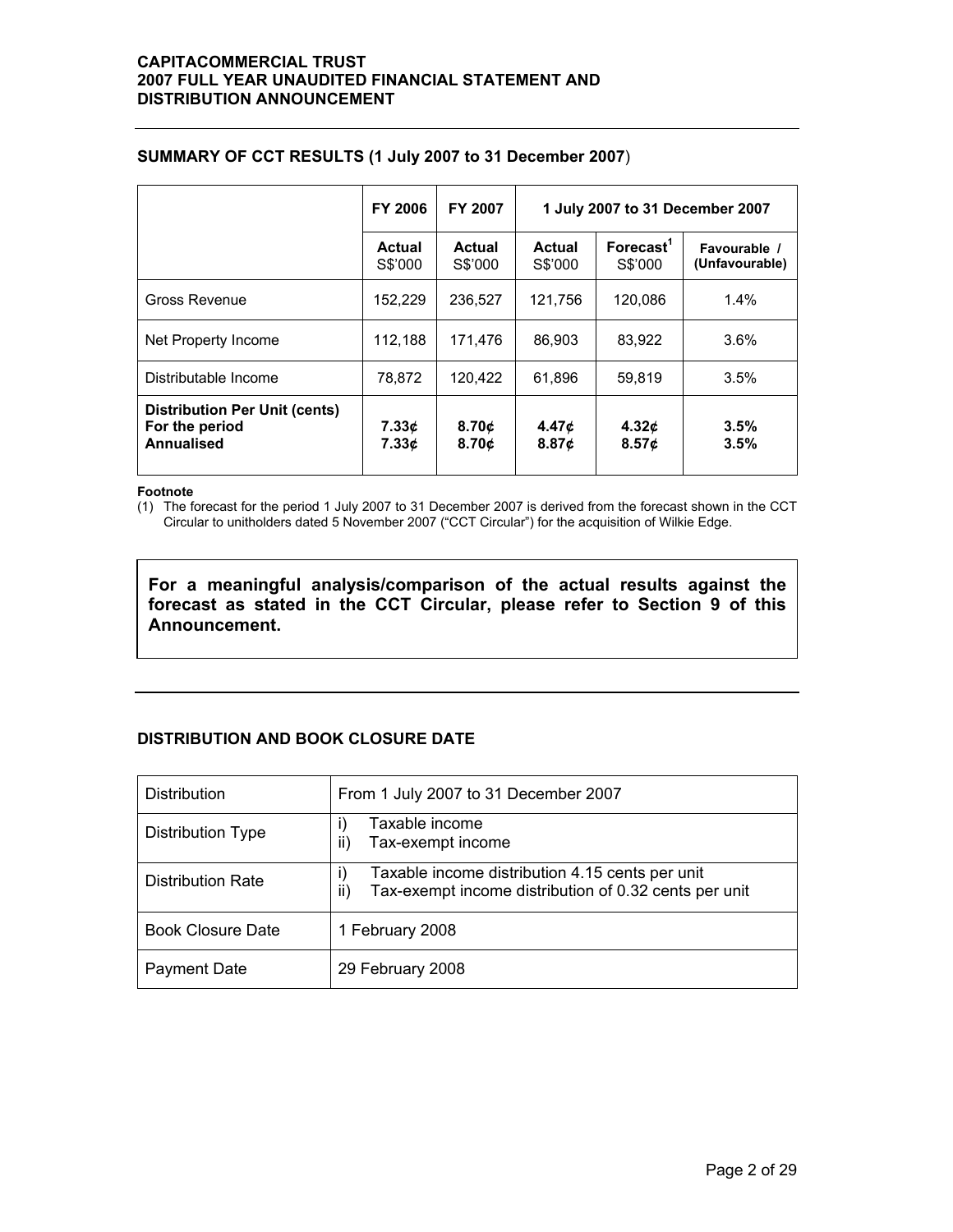|                                                                             | <b>FY 2006</b>           | FY 2007                    | 1 July 2007 to 31 December 2007 |                                   |                                |  |
|-----------------------------------------------------------------------------|--------------------------|----------------------------|---------------------------------|-----------------------------------|--------------------------------|--|
|                                                                             | <b>Actual</b><br>S\$'000 | Actual<br>S\$'000          | <b>Actual</b><br>S\$'000        | Forecast <sup>1</sup><br>S\$'000  | Favourable /<br>(Unfavourable) |  |
| Gross Revenue                                                               | 152,229                  | 236,527                    | 121,756                         | 120,086                           | 1.4%                           |  |
| Net Property Income                                                         | 112,188                  | 171,476                    | 86.903                          | 83.922                            | 3.6%                           |  |
| Distributable Income                                                        | 78.872                   | 120,422                    | 61.896                          | 59,819                            | 3.5%                           |  |
| <b>Distribution Per Unit (cents)</b><br>For the period<br><b>Annualised</b> | 7.33¢<br>7.33c           | 8.70¢<br>8.70 <sub>c</sub> | 4.47¢<br>8.87c                  | 4.32 $\boldsymbol{\phi}$<br>8.57c | 3.5%<br>3.5%                   |  |

### **SUMMARY OF CCT RESULTS (1 July 2007 to 31 December 2007**)

#### **Footnote**

(1) The forecast for the period 1 July 2007 to 31 December 2007 is derived from the forecast shown in the CCT Circular to unitholders dated 5 November 2007 ("CCT Circular") for the acquisition of Wilkie Edge.

**For a meaningful analysis/comparison of the actual results against the forecast as stated in the CCT Circular, please refer to Section 9 of this Announcement.** 

## **DISTRIBUTION AND BOOK CLOSURE DATE**

| <b>Distribution</b>      | From 1 July 2007 to 31 December 2007                                                                            |  |  |  |  |  |
|--------------------------|-----------------------------------------------------------------------------------------------------------------|--|--|--|--|--|
| <b>Distribution Type</b> | Taxable income<br>Tax-exempt income<br>ii)                                                                      |  |  |  |  |  |
| <b>Distribution Rate</b> | Taxable income distribution 4.15 cents per unit<br>Tax-exempt income distribution of 0.32 cents per unit<br>ii) |  |  |  |  |  |
| <b>Book Closure Date</b> | 1 February 2008                                                                                                 |  |  |  |  |  |
| Payment Date             | 29 February 2008                                                                                                |  |  |  |  |  |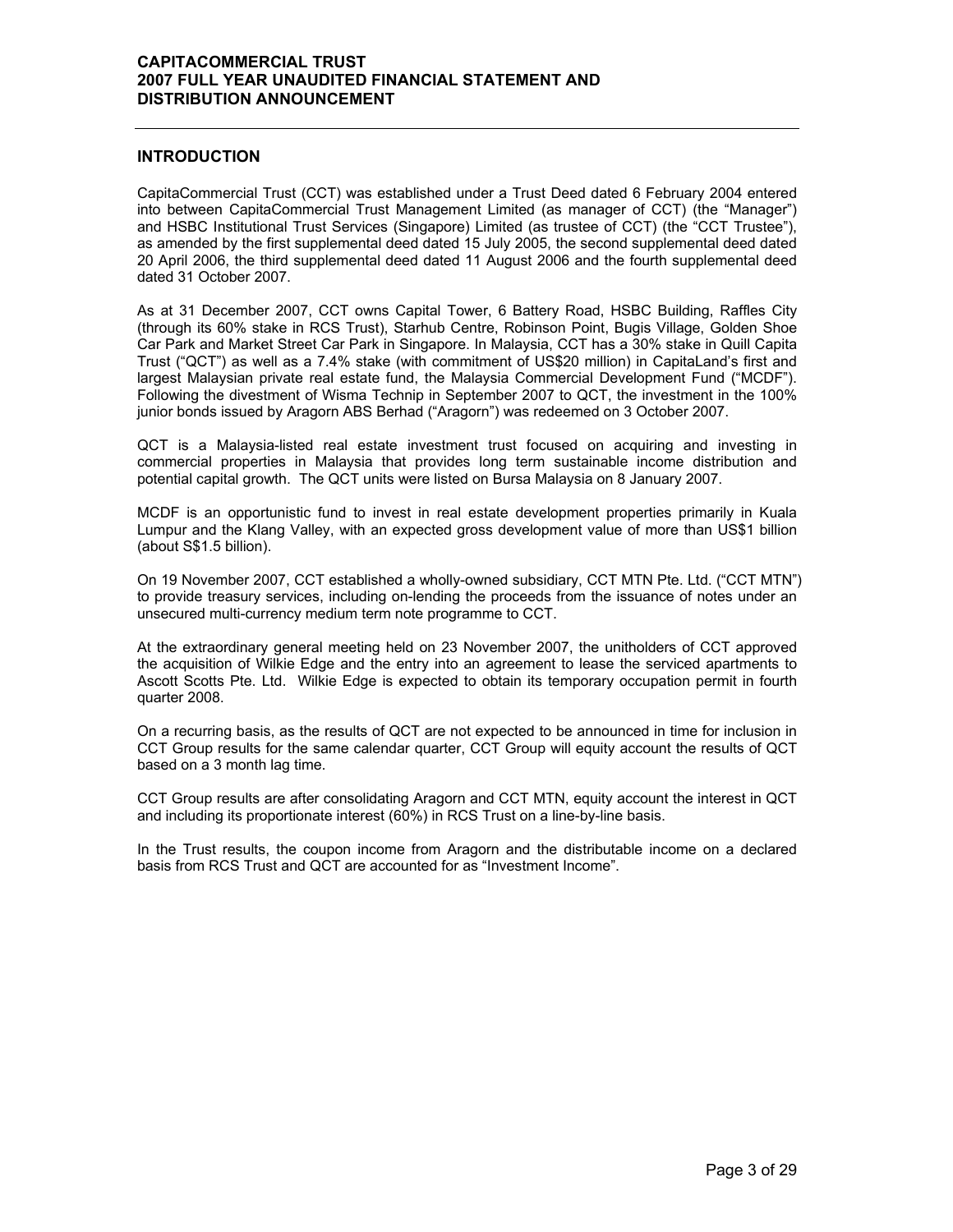### **INTRODUCTION**

CapitaCommercial Trust (CCT) was established under a Trust Deed dated 6 February 2004 entered into between CapitaCommercial Trust Management Limited (as manager of CCT) (the "Manager") and HSBC Institutional Trust Services (Singapore) Limited (as trustee of CCT) (the "CCT Trustee"), as amended by the first supplemental deed dated 15 July 2005, the second supplemental deed dated 20 April 2006, the third supplemental deed dated 11 August 2006 and the fourth supplemental deed dated 31 October 2007.

As at 31 December 2007, CCT owns Capital Tower, 6 Battery Road, HSBC Building, Raffles City (through its 60% stake in RCS Trust), Starhub Centre, Robinson Point, Bugis Village, Golden Shoe Car Park and Market Street Car Park in Singapore. In Malaysia, CCT has a 30% stake in Quill Capita Trust ("QCT") as well as a 7.4% stake (with commitment of US\$20 million) in CapitaLand's first and largest Malaysian private real estate fund, the Malaysia Commercial Development Fund ("MCDF"). Following the divestment of Wisma Technip in September 2007 to QCT, the investment in the 100% junior bonds issued by Aragorn ABS Berhad ("Aragorn") was redeemed on 3 October 2007.

QCT is a Malaysia-listed real estate investment trust focused on acquiring and investing in commercial properties in Malaysia that provides long term sustainable income distribution and potential capital growth. The QCT units were listed on Bursa Malaysia on 8 January 2007.

MCDF is an opportunistic fund to invest in real estate development properties primarily in Kuala Lumpur and the Klang Valley, with an expected gross development value of more than US\$1 billion (about S\$1.5 billion).

On 19 November 2007, CCT established a wholly-owned subsidiary, CCT MTN Pte. Ltd. ("CCT MTN") to provide treasury services, including on-lending the proceeds from the issuance of notes under an unsecured multi-currency medium term note programme to CCT.

At the extraordinary general meeting held on 23 November 2007, the unitholders of CCT approved the acquisition of Wilkie Edge and the entry into an agreement to lease the serviced apartments to Ascott Scotts Pte. Ltd. Wilkie Edge is expected to obtain its temporary occupation permit in fourth quarter 2008.

On a recurring basis, as the results of QCT are not expected to be announced in time for inclusion in CCT Group results for the same calendar quarter, CCT Group will equity account the results of QCT based on a 3 month lag time.

CCT Group results are after consolidating Aragorn and CCT MTN, equity account the interest in QCT and including its proportionate interest (60%) in RCS Trust on a line-by-line basis.

In the Trust results, the coupon income from Aragorn and the distributable income on a declared basis from RCS Trust and QCT are accounted for as "Investment Income".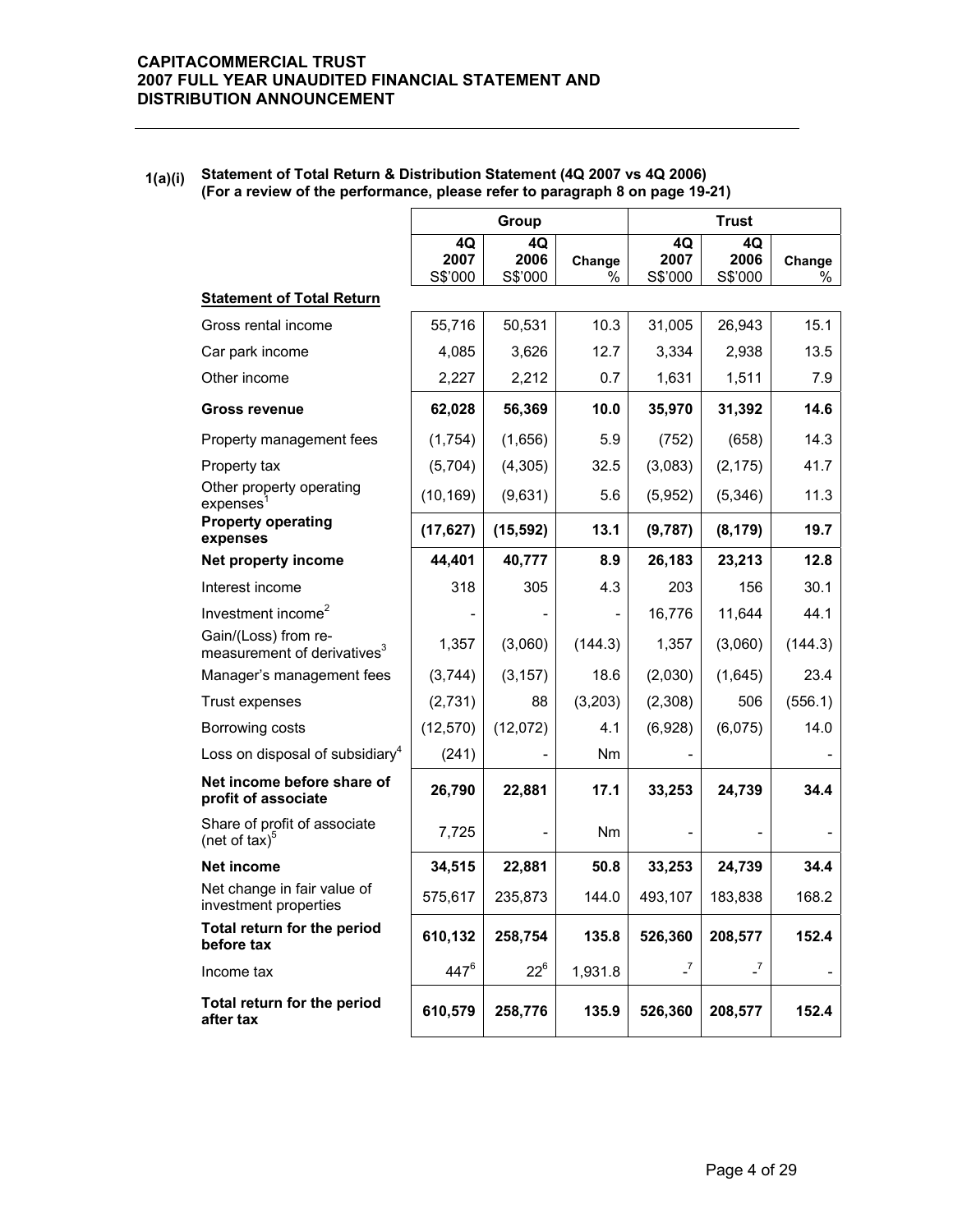### **1(a)(i) Statement of Total Return & Distribution Statement (4Q 2007 vs 4Q 2006) (For a review of the performance, please refer to paragraph 8 on page 19-21)**

|                                                                 |                       | Group                 |             | <b>Trust</b>          |                       |                |
|-----------------------------------------------------------------|-----------------------|-----------------------|-------------|-----------------------|-----------------------|----------------|
|                                                                 | 4Q<br>2007<br>S\$'000 | 4Q<br>2006<br>S\$'000 | Change<br>% | 4Q<br>2007<br>S\$'000 | 4Q<br>2006<br>S\$'000 | Change<br>$\%$ |
| <b>Statement of Total Return</b>                                |                       |                       |             |                       |                       |                |
| Gross rental income                                             | 55,716                | 50,531                | 10.3        | 31,005                | 26,943                | 15.1           |
| Car park income                                                 | 4,085                 | 3,626                 | 12.7        | 3,334                 | 2,938                 | 13.5           |
| Other income                                                    | 2,227                 | 2,212                 | 0.7         | 1,631                 | 1,511                 | 7.9            |
| <b>Gross revenue</b>                                            | 62,028                | 56,369                | 10.0        | 35,970                | 31,392                | 14.6           |
| Property management fees                                        | (1,754)               | (1,656)               | 5.9         | (752)                 | (658)                 | 14.3           |
| Property tax                                                    | (5,704)               | (4, 305)              | 32.5        | (3,083)               | (2, 175)              | 41.7           |
| Other property operating<br>expenses                            | (10, 169)             | (9,631)               | 5.6         | (5,952)               | (5,346)               | 11.3           |
| <b>Property operating</b><br>expenses                           | (17, 627)             | (15, 592)             | 13.1        | (9,787)               | (8, 179)              | 19.7           |
| Net property income                                             | 44,401                | 40,777                | 8.9         | 26,183                | 23,213                | 12.8           |
| Interest income                                                 | 318                   | 305                   | 4.3         | 203                   | 156                   | 30.1           |
| Investment income <sup>2</sup>                                  |                       |                       |             | 16,776                | 11,644                | 44.1           |
| Gain/(Loss) from re-<br>measurement of derivatives <sup>3</sup> | 1,357                 | (3,060)               | (144.3)     | 1,357                 | (3,060)               | (144.3)        |
| Manager's management fees                                       | (3,744)               | (3, 157)              | 18.6        | (2,030)               | (1,645)               | 23.4           |
| Trust expenses                                                  | (2,731)               | 88                    | (3,203)     | (2,308)               | 506                   | (556.1)        |
| Borrowing costs                                                 | (12, 570)             | (12,072)              | 4.1         | (6,928)               | (6,075)               | 14.0           |
| Loss on disposal of subsidiary <sup>4</sup>                     | (241)                 |                       | Nm          |                       |                       |                |
| Net income before share of<br>profit of associate               | 26,790                | 22,881                | 17.1        | 33,253                | 24,739                | 34.4           |
| Share of profit of associate<br>(net of tax) $5$                | 7,725                 |                       | Nm          |                       |                       |                |
| <b>Net income</b>                                               | 34,515                | 22,881                | 50.8        | 33,253                | 24,739                | 34.4           |
| Net change in fair value of<br>investment properties            | 575,617               | 235,873               | 144.0       | 493,107               | 183,838               | 168.2          |
| Total return for the period<br>before tax                       | 610,132               | 258,754               | 135.8       | 526,360               | 208,577               | 152.4          |
| Income tax                                                      | $447^6$               | $22^6$                | 1,931.8     | $\overline{z}$        | $\overline{z}$        |                |
| Total return for the period<br>after tax                        | 610,579               | 258,776               | 135.9       | 526,360               | 208,577               | 152.4          |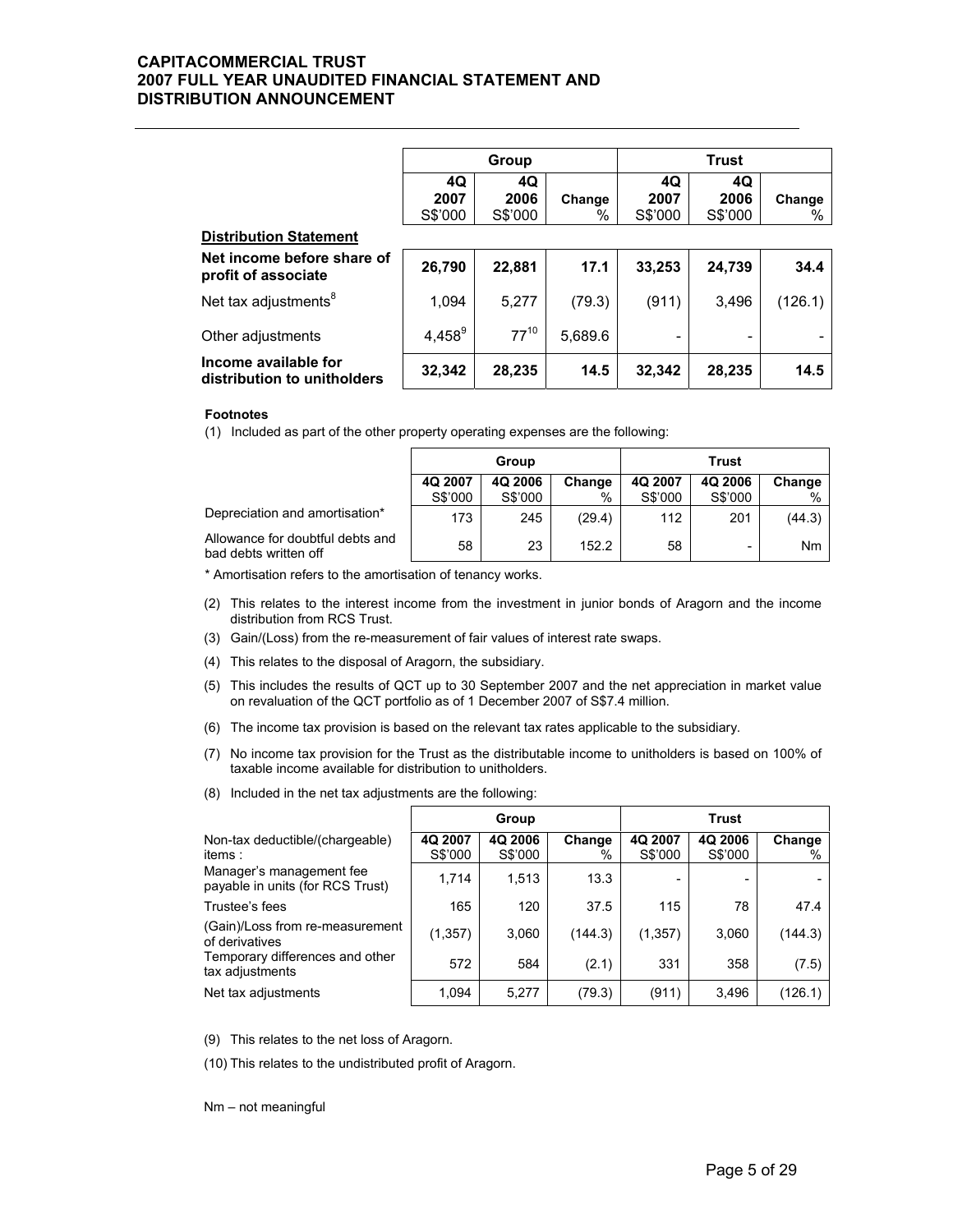|                                                     | Group     |           |         | <b>Trust</b> |         |                          |  |  |
|-----------------------------------------------------|-----------|-----------|---------|--------------|---------|--------------------------|--|--|
|                                                     | 4Q        | 4Q        |         | 4Q           | 4Q      |                          |  |  |
|                                                     | 2007      | 2006      | Change  | 2007         | 2006    | Change                   |  |  |
|                                                     | S\$'000   | S\$'000   | %       | S\$'000      | S\$'000 | %                        |  |  |
| <b>Distribution Statement</b>                       |           |           |         |              |         |                          |  |  |
| Net income before share of<br>profit of associate   | 26,790    | 22,881    | 17.1    | 33,253       | 24,739  | 34.4                     |  |  |
| Net tax adjustments <sup>8</sup>                    | 1,094     | 5,277     | (79.3)  | (911)        | 3,496   | (126.1)                  |  |  |
| Other adjustments                                   | $4,458^9$ | $77^{10}$ | 5,689.6 |              |         | $\overline{\phantom{a}}$ |  |  |
| Income available for<br>distribution to unitholders | 32,342    | 28,235    | 14.5    | 32,342       | 28,235  | 14.5                     |  |  |

#### **Footnotes**

(1) Included as part of the other property operating expenses are the following:

|                                                           | Group   |         |        | Trust   |         |        |
|-----------------------------------------------------------|---------|---------|--------|---------|---------|--------|
|                                                           | 4Q 2007 | 4Q 2006 | Change | 4Q 2007 | 4Q 2006 | Change |
|                                                           | S\$'000 | S\$'000 | %      | S\$'000 | S\$'000 | %      |
| Depreciation and amortisation*                            | 173     | 245     | (29.4) | 112     | 201     | (44.3) |
| Allowance for doubtful debts and<br>bad debts written off | 58      | 23      | 152.2  | 58      | -       | Nm     |

\* Amortisation refers to the amortisation of tenancy works.

- (2) This relates to the interest income from the investment in junior bonds of Aragorn and the income distribution from RCS Trust.
- (3) Gain/(Loss) from the re-measurement of fair values of interest rate swaps.
- (4) This relates to the disposal of Aragorn, the subsidiary.
- (5) This includes the results of QCT up to 30 September 2007 and the net appreciation in market value on revaluation of the QCT portfolio as of 1 December 2007 of S\$7.4 million.
- (6) The income tax provision is based on the relevant tax rates applicable to the subsidiary.
- (7) No income tax provision for the Trust as the distributable income to unitholders is based on 100% of taxable income available for distribution to unitholders.
- (8) Included in the net tax adjustments are the following:

|                                                              |                    | Group              |             |                    | <b>Trust</b>       |             |
|--------------------------------------------------------------|--------------------|--------------------|-------------|--------------------|--------------------|-------------|
| Non-tax deductible/(chargeable)<br>items:                    | 4Q 2007<br>S\$'000 | 4Q 2006<br>S\$'000 | Change<br>% | 4Q 2007<br>S\$'000 | 4Q 2006<br>S\$'000 | Change<br>% |
| Manager's management fee<br>payable in units (for RCS Trust) | 1,714              | 1,513              | 13.3        |                    |                    |             |
| Trustee's fees                                               | 165                | 120                | 37.5        | 115                | 78                 | 47.4        |
| (Gain)/Loss from re-measurement<br>of derivatives            | (1,357)            | 3,060              | (144.3)     | (1, 357)           | 3,060              | (144.3)     |
| Temporary differences and other<br>tax adjustments           | 572                | 584                | (2.1)       | 331                | 358                | (7.5)       |
| Net tax adjustments                                          | 1,094              | 5,277              | (79.3)      | (911)              | 3,496              | (126.1)     |

(9) This relates to the net loss of Aragorn.

(10) This relates to the undistributed profit of Aragorn.

Nm – not meaningful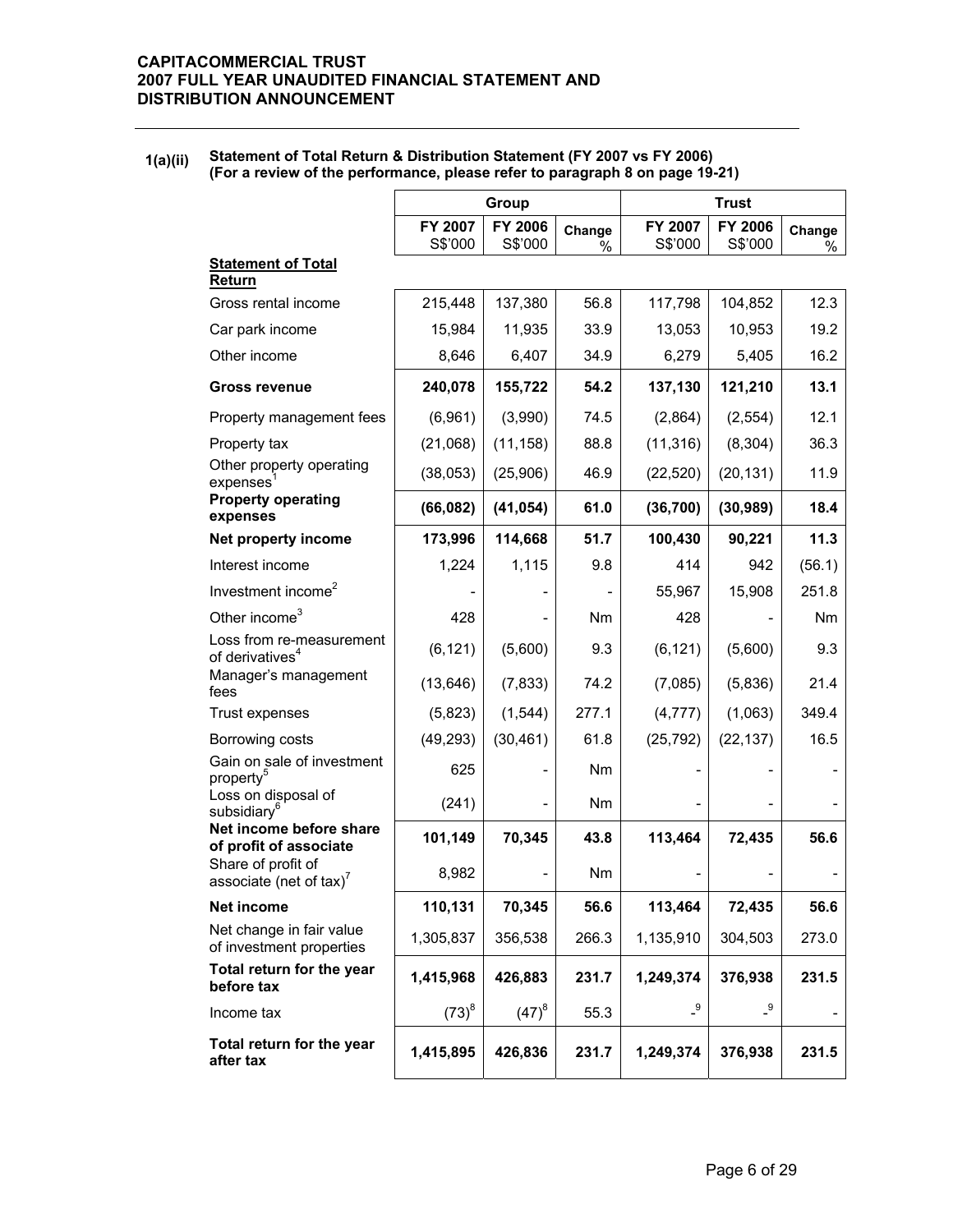### **1(a)(ii) Statement of Total Return & Distribution Statement (FY 2007 vs FY 2006) (For a review of the performance, please refer to paragraph 8 on page 19-21)**

|                                                         | Group              |                          |             | <b>Trust</b>       |                    |             |  |
|---------------------------------------------------------|--------------------|--------------------------|-------------|--------------------|--------------------|-------------|--|
|                                                         | FY 2007<br>S\$'000 | FY 2006<br>S\$'000       | Change<br>% | FY 2007<br>S\$'000 | FY 2006<br>S\$'000 | Change<br>% |  |
| <b>Statement of Total</b><br><b>Return</b>              |                    |                          |             |                    |                    |             |  |
| Gross rental income                                     | 215,448            | 137,380                  | 56.8        | 117,798            | 104,852            | 12.3        |  |
| Car park income                                         | 15,984             | 11,935                   | 33.9        | 13,053             | 10,953             | 19.2        |  |
| Other income                                            | 8,646              | 6,407                    | 34.9        | 6,279              | 5,405              | 16.2        |  |
| <b>Gross revenue</b>                                    | 240,078            | 155,722                  | 54.2        | 137,130            | 121,210            | 13.1        |  |
| Property management fees                                | (6,961)            | (3,990)                  | 74.5        | (2,864)            | (2, 554)           | 12.1        |  |
| Property tax                                            | (21,068)           | (11, 158)                | 88.8        | (11, 316)          | (8, 304)           | 36.3        |  |
| Other property operating<br>express <sup>1</sup>        | (38,053)           | (25,906)                 | 46.9        | (22, 520)          | (20, 131)          | 11.9        |  |
| <b>Property operating</b><br>expenses                   | (66, 082)          | (41, 054)                | 61.0        | (36, 700)          | (30, 989)          | 18.4        |  |
| Net property income                                     | 173,996            | 114,668                  | 51.7        | 100,430            | 90,221             | 11.3        |  |
| Interest income                                         | 1,224              | 1,115                    | 9.8         | 414                | 942                | (56.1)      |  |
| Investment income <sup>2</sup>                          |                    |                          |             | 55,967             | 15,908             | 251.8       |  |
| Other income <sup>3</sup>                               | 428                |                          | Nm          | 428                |                    | Nm          |  |
| Loss from re-measurement<br>of derivatives <sup>4</sup> | (6, 121)           | (5,600)                  | 9.3         | (6, 121)           | (5,600)            | 9.3         |  |
| Manager's management<br>fees                            | (13, 646)          | (7, 833)                 | 74.2        | (7,085)            | (5,836)            | 21.4        |  |
| Trust expenses                                          | (5,823)            | (1, 544)                 | 277.1       | (4, 777)           | (1,063)            | 349.4       |  |
| Borrowing costs                                         | (49, 293)          | (30, 461)                | 61.8        | (25, 792)          | (22, 137)          | 16.5        |  |
| Gain on sale of investment<br>property <sup>5</sup>     | 625                |                          | Nm          |                    |                    |             |  |
| Loss on disposal of<br>subsidiary <sup>6</sup>          | (241)              | $\overline{\phantom{a}}$ | Nm          |                    |                    |             |  |
| Net income before share<br>of profit of associate       | 101,149            | 70,345                   | 43.8        | 113,464            | 72,435             | 56.6        |  |
| Share of profit of<br>associate (net of tax) $^7$       | 8,982              |                          | Nm          |                    |                    |             |  |
| Net income                                              | 110,131            | 70,345                   | 56.6        | 113,464            | 72,435             | 56.6        |  |
| Net change in fair value<br>of investment properties    | 1,305,837          | 356,538                  | 266.3       | 1,135,910          | 304,503            | 273.0       |  |
| Total return for the year<br>before tax                 | 1,415,968          | 426,883                  | 231.7       | 1,249,374          | 376,938            | 231.5       |  |
| Income tax                                              | $(73)^{8}$         | $(47)^{8}$               | 55.3        | $-9$               | $\overline{.}9$    |             |  |
| Total return for the year<br>after tax                  | 1,415,895          | 426,836                  | 231.7       | 1,249,374          | 376,938            | 231.5       |  |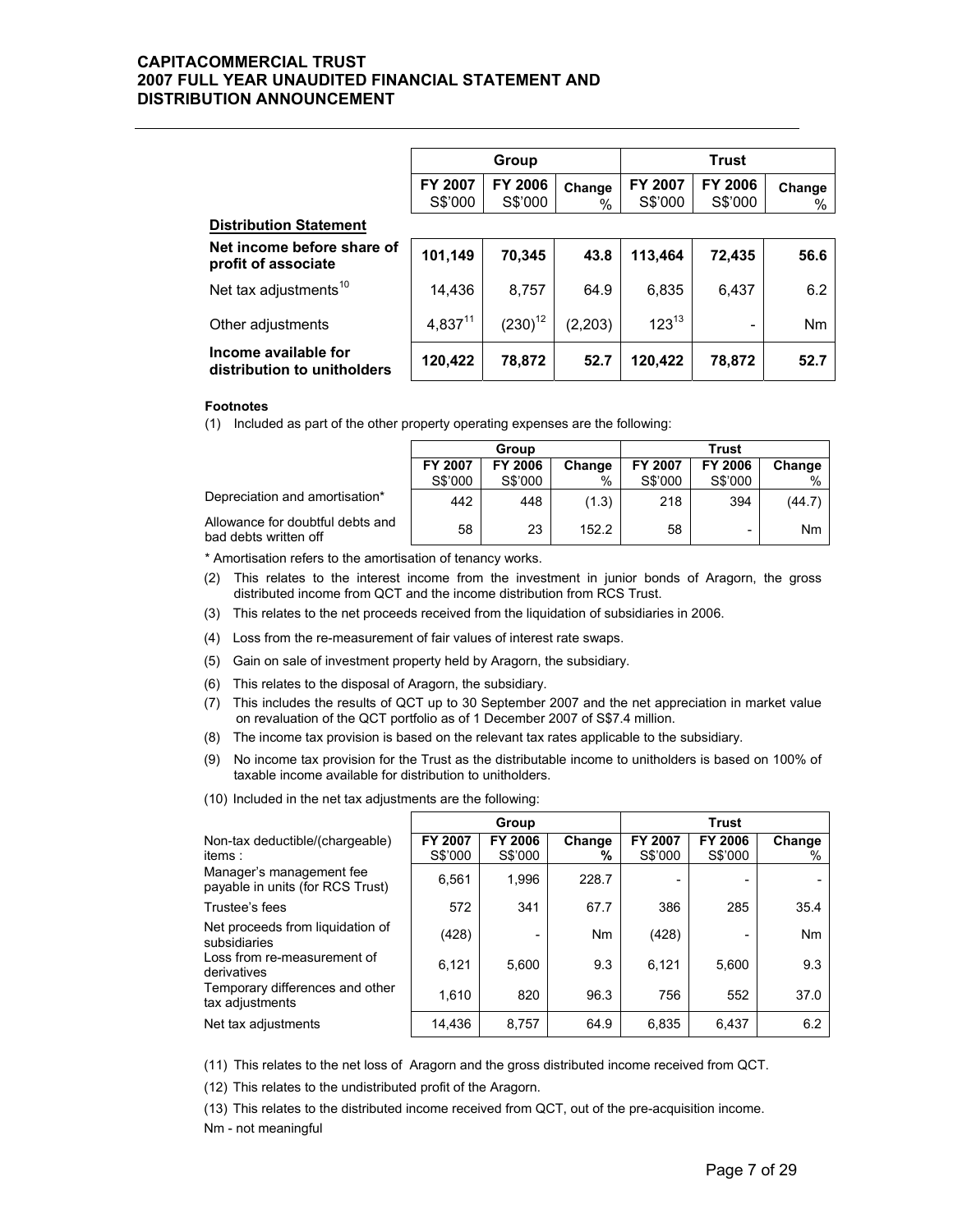|                                                     | Group              |                           |             |                    |                           |             |
|-----------------------------------------------------|--------------------|---------------------------|-------------|--------------------|---------------------------|-------------|
|                                                     | FY 2007<br>S\$'000 | <b>FY 2006</b><br>S\$'000 | Change<br>% | FY 2007<br>S\$'000 | <b>FY 2006</b><br>S\$'000 | Change<br>% |
| <b>Distribution Statement</b>                       |                    |                           |             |                    |                           |             |
| Net income before share of<br>profit of associate   | 101,149            | 70,345                    | 43.8        | 113,464            | 72,435                    | 56.6        |
| Net tax adjustments <sup>10</sup>                   | 14.436             | 8,757                     | 64.9        | 6,835              | 6,437                     | 6.2         |
| Other adjustments                                   | $4,837^{11}$       | $(230)^{12}$              | (2, 203)    | $123^{13}$         |                           | Nm          |
| Income available for<br>distribution to unitholders | 120,422            | 78,872                    | 52.7        | 120,422            | 78,872                    | 52.7        |

#### **Footnotes**

(1) Included as part of the other property operating expenses are the following:

|                                                           | Group          |         |        | Trust   |         |        |
|-----------------------------------------------------------|----------------|---------|--------|---------|---------|--------|
|                                                           | <b>FY 2007</b> | FY 2006 | Change | FY 2007 | FY 2006 | Change |
|                                                           | S\$'000        | S\$'000 | %      | S\$'000 | S\$'000 | $\%$   |
| Depreciation and amortisation*                            | 442            | 448     | (1.3)  | 218     | 394     | (44.7) |
| Allowance for doubtful debts and<br>bad debts written off | 58             | 23      | 152.2  | 58      | -       | Nm     |

\* Amortisation refers to the amortisation of tenancy works.

- (2) This relates to the interest income from the investment in junior bonds of Aragorn, the gross distributed income from QCT and the income distribution from RCS Trust.
- (3) This relates to the net proceeds received from the liquidation of subsidiaries in 2006.
- (4) Loss from the re-measurement of fair values of interest rate swaps.
- (5) Gain on sale of investment property held by Aragorn, the subsidiary.
- (6) This relates to the disposal of Aragorn, the subsidiary.
- (7) This includes the results of QCT up to 30 September 2007 and the net appreciation in market value on revaluation of the QCT portfolio as of 1 December 2007 of S\$7.4 million.
- (8) The income tax provision is based on the relevant tax rates applicable to the subsidiary.
- (9) No income tax provision for the Trust as the distributable income to unitholders is based on 100% of taxable income available for distribution to unitholders.

|  |  | (10) Included in the net tax adjustments are the following: |  |
|--|--|-------------------------------------------------------------|--|
|  |  |                                                             |  |

|                                                              |                    | Group              |                |                    | <b>Trust</b>       |             |
|--------------------------------------------------------------|--------------------|--------------------|----------------|--------------------|--------------------|-------------|
| Non-tax deductible/(chargeable)<br>items:                    | FY 2007<br>S\$'000 | FY 2006<br>S\$'000 | Change<br>%    | FY 2007<br>S\$'000 | FY 2006<br>S\$'000 | Change<br>% |
| Manager's management fee<br>payable in units (for RCS Trust) | 6,561              | 1,996              | 228.7          |                    |                    |             |
| Trustee's fees                                               | 572                | 341                | 67.7           | 386                | 285                | 35.4        |
| Net proceeds from liquidation of<br>subsidiaries             | (428)              |                    | N <sub>m</sub> | (428)              |                    | <b>Nm</b>   |
| Loss from re-measurement of<br>derivatives                   | 6,121              | 5,600              | 9.3            | 6.121              | 5.600              | 9.3         |
| Temporary differences and other<br>tax adjustments           | 1.610              | 820                | 96.3           | 756                | 552                | 37.0        |
| Net tax adjustments                                          | 14.436             | 8,757              | 64.9           | 6,835              | 6,437              | 6.2         |

(11) This relates to the net loss of Aragorn and the gross distributed income received from QCT.

(12) This relates to the undistributed profit of the Aragorn.

(13) This relates to the distributed income received from QCT, out of the pre-acquisition income.

Nm - not meaningful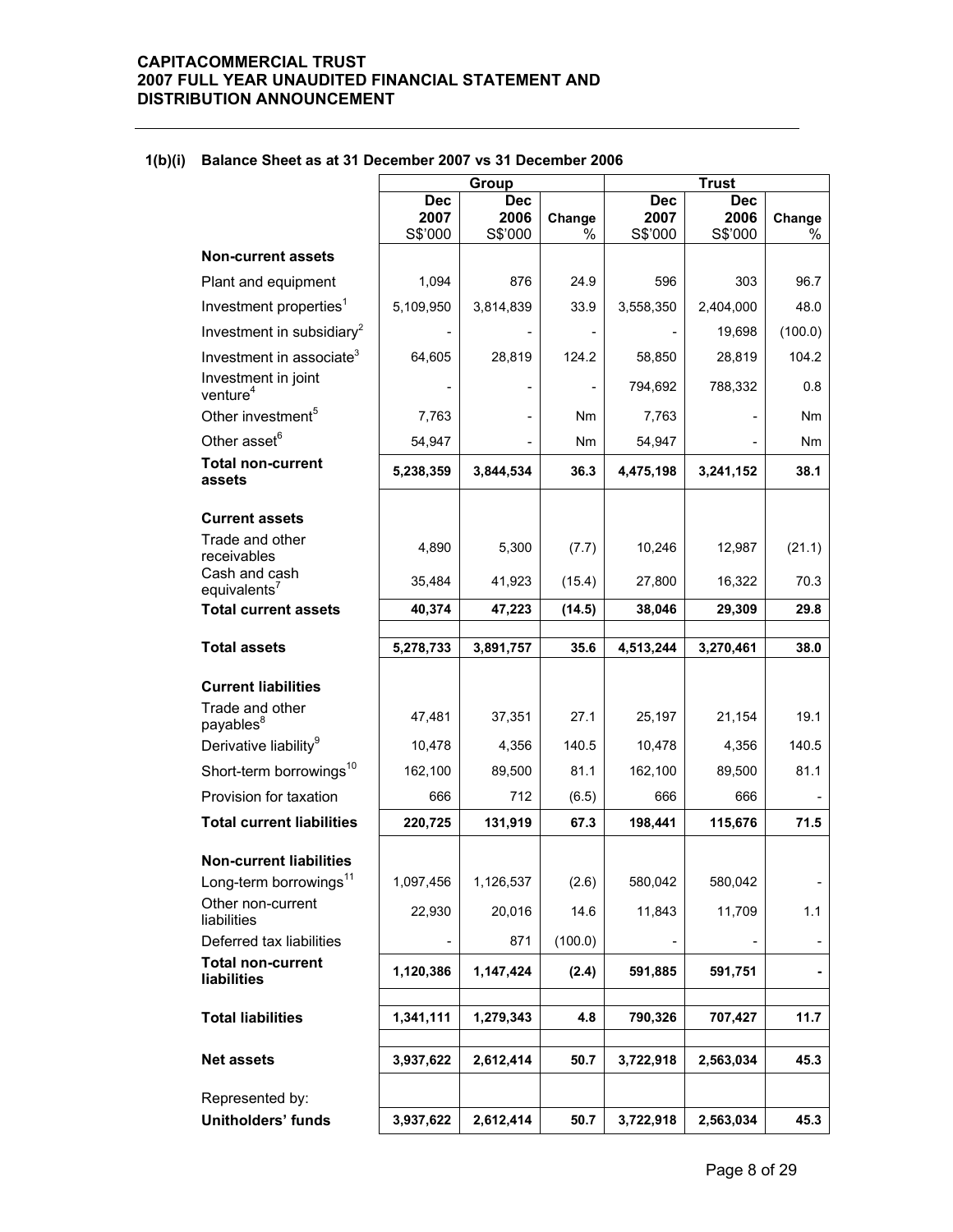|                                             | Group                         |                               |             | <b>Trust</b>                  |                               |                |
|---------------------------------------------|-------------------------------|-------------------------------|-------------|-------------------------------|-------------------------------|----------------|
|                                             | <b>Dec</b><br>2007<br>S\$'000 | <b>Dec</b><br>2006<br>S\$'000 | Change<br>% | <b>Dec</b><br>2007<br>S\$'000 | <b>Dec</b><br>2006<br>S\$'000 | Change<br>%    |
| <b>Non-current assets</b>                   |                               |                               |             |                               |                               |                |
| Plant and equipment                         | 1,094                         | 876                           | 24.9        | 596                           | 303                           | 96.7           |
| Investment properties <sup>1</sup>          | 5,109,950                     | 3,814,839                     | 33.9        | 3,558,350                     | 2,404,000                     | 48.0           |
| Investment in subsidiary <sup>2</sup>       |                               |                               |             |                               | 19,698                        | (100.0)        |
| Investment in associate <sup>3</sup>        | 64,605                        | 28,819                        | 124.2       | 58,850                        | 28,819                        | 104.2          |
| Investment in joint<br>venture <sup>4</sup> |                               |                               |             | 794,692                       | 788,332                       | 0.8            |
| Other investment <sup>5</sup>               | 7,763                         |                               | Nm          | 7,763                         |                               | Nm             |
| Other asset <sup>6</sup>                    | 54,947                        |                               | Nm          | 54,947                        |                               | Nm             |
| <b>Total non-current</b><br>assets          | 5,238,359                     | 3,844,534                     | 36.3        | 4,475,198                     | 3,241,152                     | 38.1           |
| <b>Current assets</b>                       |                               |                               |             |                               |                               |                |
| Trade and other<br>receivables              | 4,890                         | 5,300                         | (7.7)       | 10,246                        | 12,987                        | (21.1)         |
| Cash and cash<br>equivalents <sup>7</sup>   | 35,484                        | 41,923                        | (15.4)      | 27,800                        | 16,322                        | 70.3           |
| <b>Total current assets</b>                 | 40,374                        | 47,223                        | (14.5)      | 38,046                        | 29,309                        | 29.8           |
| <b>Total assets</b>                         | 5,278,733                     | 3,891,757                     | 35.6        | 4,513,244                     | 3,270,461                     | 38.0           |
| <b>Current liabilities</b>                  |                               |                               |             |                               |                               |                |
| Trade and other<br>payables <sup>8</sup>    | 47,481                        | 37,351                        | 27.1        | 25,197                        | 21,154                        | 19.1           |
| Derivative liability <sup>9</sup>           | 10,478                        | 4,356                         | 140.5       | 10,478                        | 4,356                         | 140.5          |
| Short-term borrowings <sup>10</sup>         | 162,100                       | 89,500                        | 81.1        | 162,100                       | 89,500                        | 81.1           |
| Provision for taxation                      | 666                           | 712                           | (6.5)       | 666                           | 666                           |                |
| <b>Total current liabilities</b>            | 220,725                       | 131,919                       | 67.3        | 198,441                       | 115,676                       | 71.5           |
| <b>Non-current liabilities</b>              |                               |                               |             |                               |                               |                |
| Long-term borrowings <sup>11</sup>          | 1,097,456                     | 1,126,537                     | (2.6)       | 580,042                       | 580,042                       | $\blacksquare$ |
| Other non-current<br>liabilities            | 22,930                        | 20,016                        | 14.6        | 11,843                        | 11,709                        | 1.1            |
| Deferred tax liabilities                    |                               | 871                           | (100.0)     |                               |                               | $\blacksquare$ |
| <b>Total non-current</b><br>liabilities     | 1,120,386                     | 1,147,424                     | (2.4)       | 591,885                       | 591,751                       | $\blacksquare$ |
| <b>Total liabilities</b>                    | 1,341,111                     | 1,279,343                     | 4.8         | 790,326                       | 707,427                       | 11.7           |
| <b>Net assets</b>                           | 3,937,622                     | 2,612,414                     | 50.7        | 3,722,918                     | 2,563,034                     | 45.3           |
| Represented by:                             |                               |                               |             |                               |                               |                |
| Unitholders' funds                          | 3,937,622                     | 2,612,414                     | 50.7        | 3,722,918                     | 2,563,034                     | 45.3           |
|                                             |                               |                               |             |                               |                               |                |

### **1(b)(i) Balance Sheet as at 31 December 2007 vs 31 December 2006**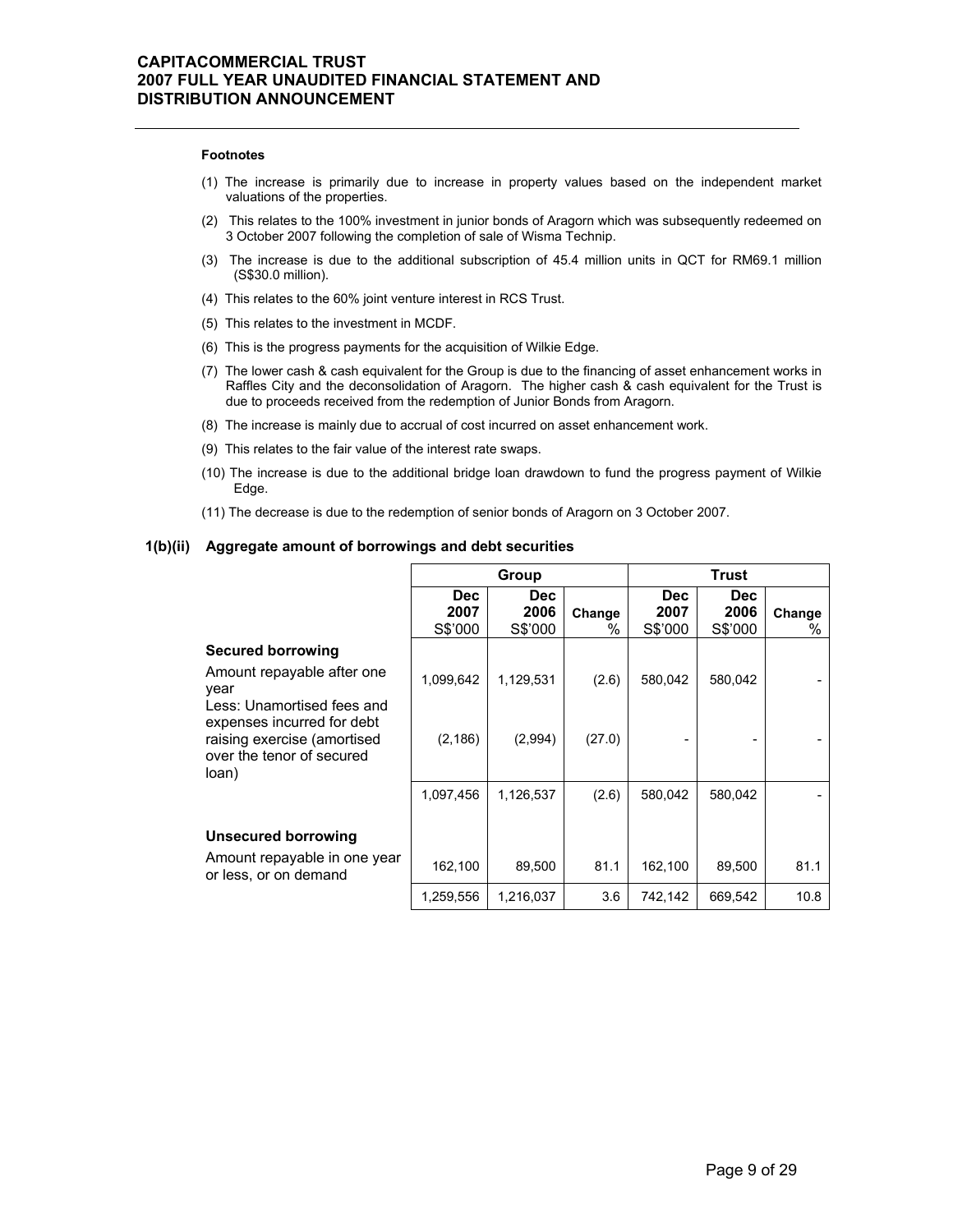#### **Footnotes**

- (1) The increase is primarily due to increase in property values based on the independent market valuations of the properties.
- (2) This relates to the 100% investment in junior bonds of Aragorn which was subsequently redeemed on 3 October 2007 following the completion of sale of Wisma Technip.
- (3) The increase is due to the additional subscription of 45.4 million units in QCT for RM69.1 million (S\$30.0 million).
- (4) This relates to the 60% joint venture interest in RCS Trust.
- (5) This relates to the investment in MCDF.
- (6) This is the progress payments for the acquisition of Wilkie Edge.
- (7) The lower cash & cash equivalent for the Group is due to the financing of asset enhancement works in Raffles City and the deconsolidation of Aragorn. The higher cash & cash equivalent for the Trust is due to proceeds received from the redemption of Junior Bonds from Aragorn.
- (8) The increase is mainly due to accrual of cost incurred on asset enhancement work.
- (9) This relates to the fair value of the interest rate swaps.
- (10) The increase is due to the additional bridge loan drawdown to fund the progress payment of Wilkie Edge.
- (11) The decrease is due to the redemption of senior bonds of Aragorn on 3 October 2007.

#### **1(b)(ii) Aggregate amount of borrowings and debt securities**

|                                                                                                                               | Group                         |                               |             | Trust                         |                         |             |
|-------------------------------------------------------------------------------------------------------------------------------|-------------------------------|-------------------------------|-------------|-------------------------------|-------------------------|-------------|
|                                                                                                                               | <b>Dec</b><br>2007<br>S\$'000 | <b>Dec</b><br>2006<br>S\$'000 | Change<br>℅ | <b>Dec</b><br>2007<br>S\$'000 | Dec.<br>2006<br>S\$'000 | Change<br>% |
| <b>Secured borrowing</b><br>Amount repayable after one<br>year                                                                | 1,099,642                     | 1,129,531                     | (2.6)       | 580.042                       | 580,042                 |             |
| Less: Unamortised fees and<br>expenses incurred for debt<br>raising exercise (amortised<br>over the tenor of secured<br>loan) | (2, 186)                      | (2,994)                       | (27.0)      |                               |                         |             |
|                                                                                                                               | 1,097,456                     | 1,126,537                     | (2.6)       | 580,042                       | 580,042                 |             |
| <b>Unsecured borrowing</b>                                                                                                    |                               |                               |             |                               |                         |             |
| Amount repayable in one year<br>or less, or on demand                                                                         | 162,100                       | 89,500                        | 81.1        | 162,100                       | 89,500                  | 81.1        |
|                                                                                                                               | 1,259,556                     | 1,216,037                     | 3.6         | 742,142                       | 669,542                 | 10.8        |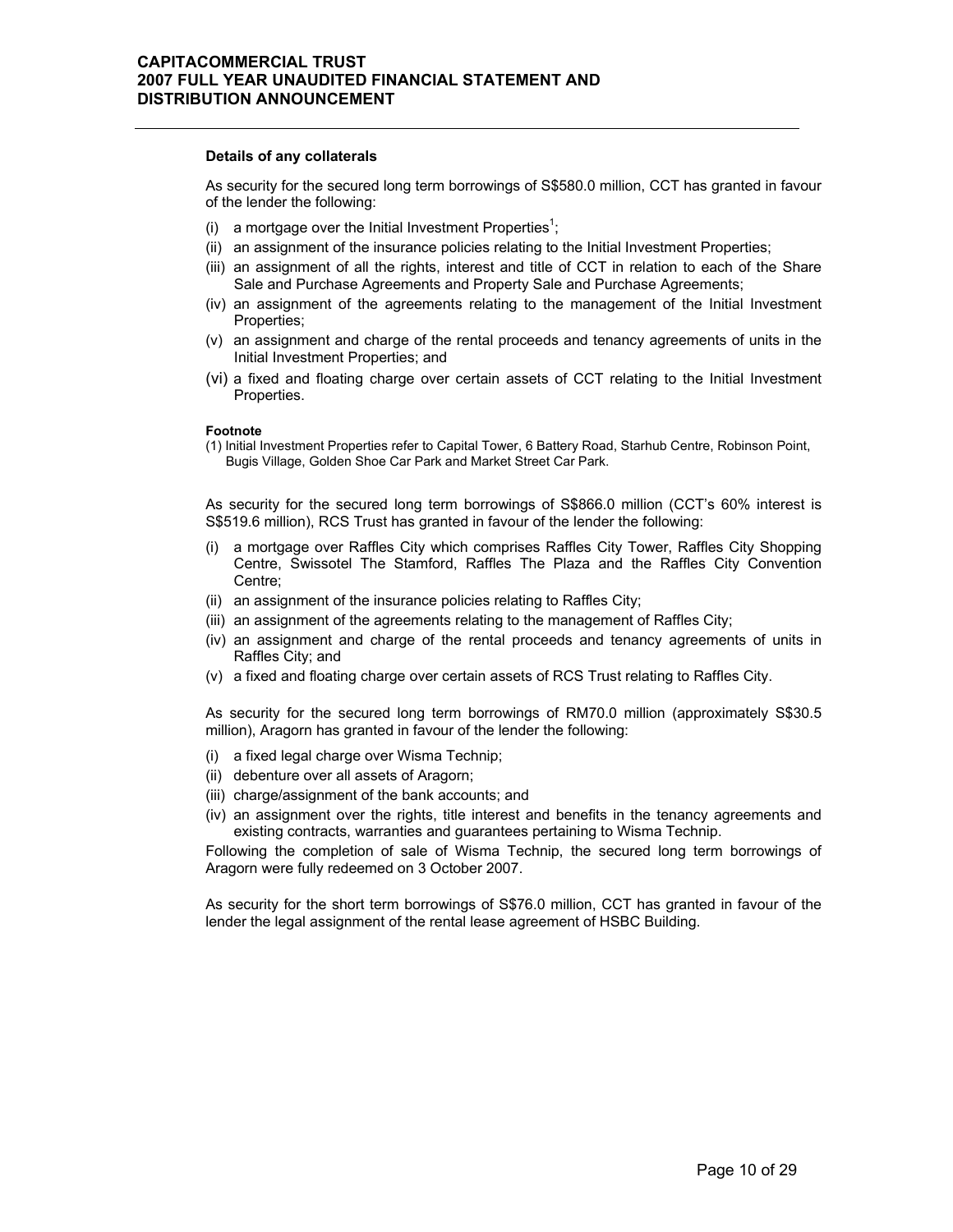#### **Details of any collaterals**

As security for the secured long term borrowings of S\$580.0 million, CCT has granted in favour of the lender the following:

- (i) a mortgage over the Initial Investment Properties<sup>1</sup>;
- (ii) an assignment of the insurance policies relating to the Initial Investment Properties;
- (iii) an assignment of all the rights, interest and title of CCT in relation to each of the Share Sale and Purchase Agreements and Property Sale and Purchase Agreements;
- (iv) an assignment of the agreements relating to the management of the Initial Investment Properties;
- (v) an assignment and charge of the rental proceeds and tenancy agreements of units in the Initial Investment Properties; and
- (vi) a fixed and floating charge over certain assets of CCT relating to the Initial Investment Properties.

#### **Footnote**

(1) Initial Investment Properties refer to Capital Tower, 6 Battery Road, Starhub Centre, Robinson Point, Bugis Village, Golden Shoe Car Park and Market Street Car Park.

As security for the secured long term borrowings of S\$866.0 million (CCT's 60% interest is S\$519.6 million), RCS Trust has granted in favour of the lender the following:

- (i) a mortgage over Raffles City which comprises Raffles City Tower, Raffles City Shopping Centre, Swissotel The Stamford, Raffles The Plaza and the Raffles City Convention Centre;
- (ii) an assignment of the insurance policies relating to Raffles City;
- (iii) an assignment of the agreements relating to the management of Raffles City;
- (iv) an assignment and charge of the rental proceeds and tenancy agreements of units in Raffles City; and
- (v) a fixed and floating charge over certain assets of RCS Trust relating to Raffles City.

As security for the secured long term borrowings of RM70.0 million (approximately S\$30.5 million), Aragorn has granted in favour of the lender the following:

- (i) a fixed legal charge over Wisma Technip;
- (ii) debenture over all assets of Aragorn;
- (iii) charge/assignment of the bank accounts; and
- (iv) an assignment over the rights, title interest and benefits in the tenancy agreements and existing contracts, warranties and guarantees pertaining to Wisma Technip.

Following the completion of sale of Wisma Technip, the secured long term borrowings of Aragorn were fully redeemed on 3 October 2007.

As security for the short term borrowings of S\$76.0 million, CCT has granted in favour of the lender the legal assignment of the rental lease agreement of HSBC Building.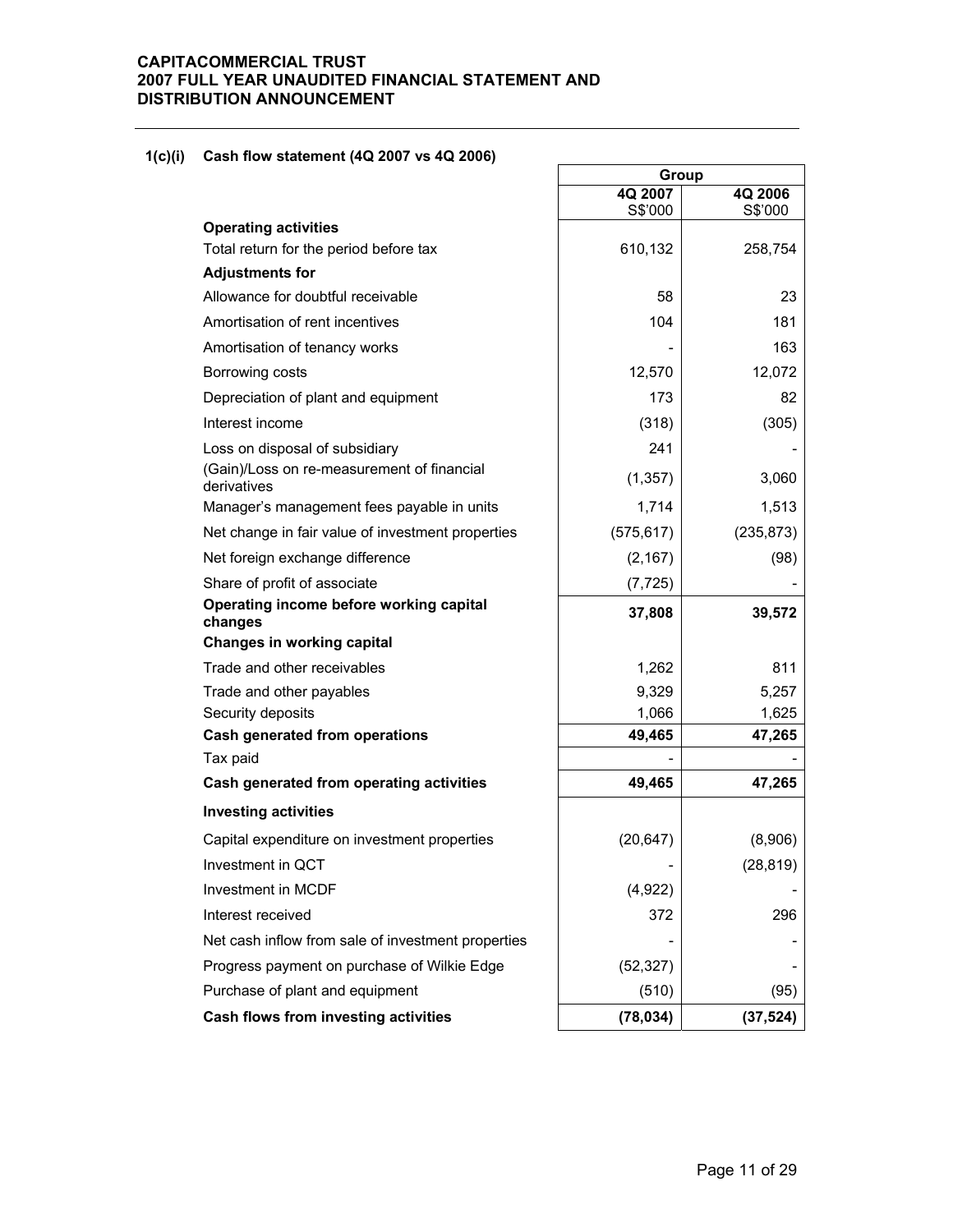### **1(c)(i) Cash flow statement (4Q 2007 vs 4Q 2006)**

|                                                           | Group      |            |
|-----------------------------------------------------------|------------|------------|
|                                                           | 4Q 2007    | 4Q 2006    |
| <b>Operating activities</b>                               | S\$'000    | S\$'000    |
| Total return for the period before tax                    | 610,132    | 258,754    |
| <b>Adjustments for</b>                                    |            |            |
| Allowance for doubtful receivable                         | 58         | 23         |
| Amortisation of rent incentives                           | 104        | 181        |
| Amortisation of tenancy works                             |            | 163        |
| Borrowing costs                                           | 12,570     | 12,072     |
| Depreciation of plant and equipment                       | 173        | 82         |
| Interest income                                           | (318)      | (305)      |
| Loss on disposal of subsidiary                            | 241        |            |
| (Gain)/Loss on re-measurement of financial<br>derivatives | (1, 357)   | 3,060      |
| Manager's management fees payable in units                | 1,714      | 1,513      |
| Net change in fair value of investment properties         | (575, 617) | (235, 873) |
| Net foreign exchange difference                           | (2, 167)   | (98)       |
| Share of profit of associate                              | (7, 725)   |            |
| Operating income before working capital<br>changes        | 37,808     | 39,572     |
| Changes in working capital                                |            |            |
| Trade and other receivables                               | 1,262      | 811        |
| Trade and other payables                                  | 9,329      | 5,257      |
| Security deposits                                         | 1,066      | 1,625      |
| Cash generated from operations                            | 49,465     | 47,265     |
| Tax paid                                                  |            |            |
| Cash generated from operating activities                  | 49,465     | 47,265     |
| <b>Investing activities</b>                               |            |            |
| Capital expenditure on investment properties              | (20, 647)  | (8,906)    |
| Investment in QCT                                         |            | (28, 819)  |
| Investment in MCDF                                        | (4,922)    |            |
| Interest received                                         | 372        | 296        |
| Net cash inflow from sale of investment properties        |            |            |
| Progress payment on purchase of Wilkie Edge               | (52, 327)  |            |
| Purchase of plant and equipment                           | (510)      | (95)       |
| Cash flows from investing activities                      | (78, 034)  | (37, 524)  |

٦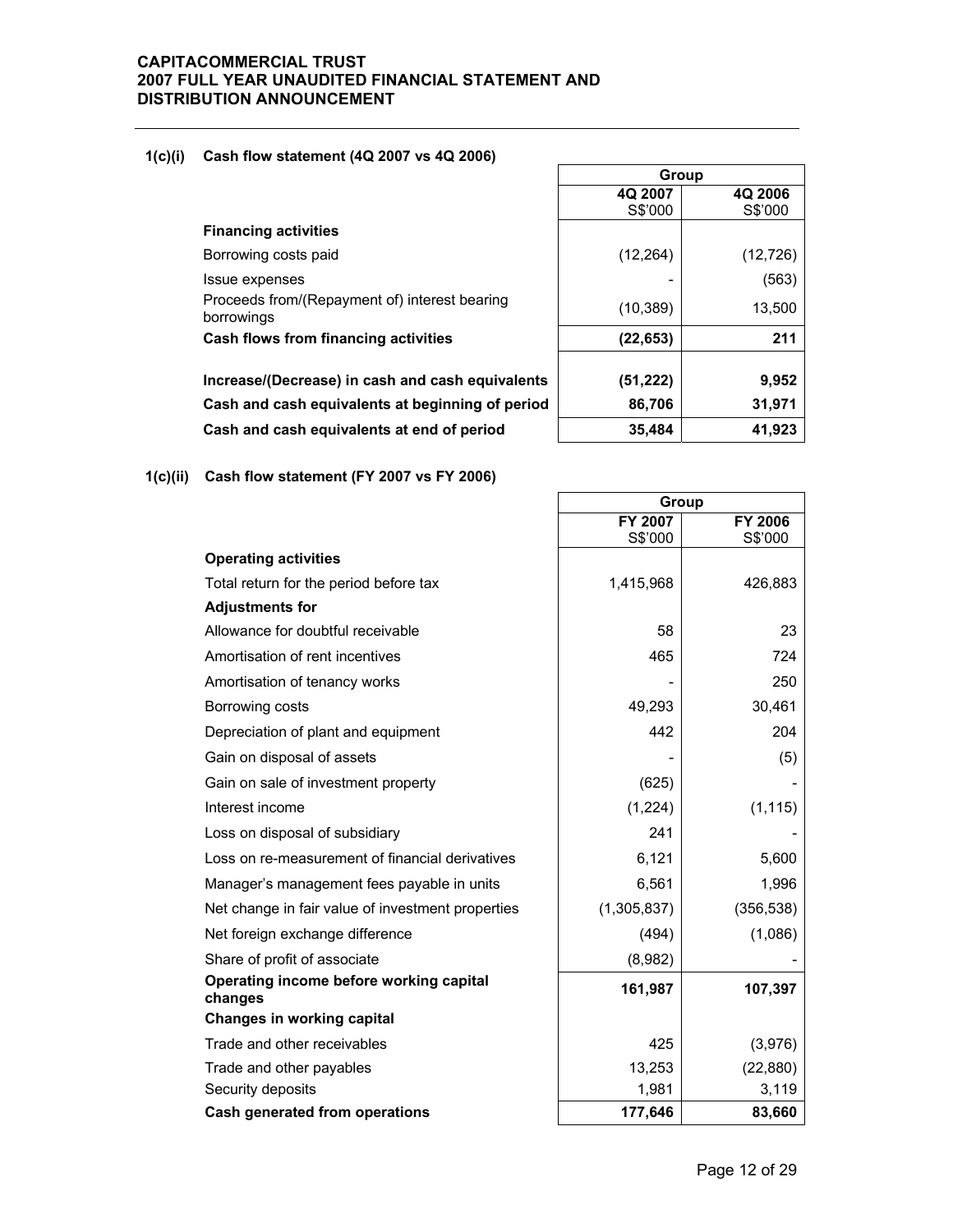### **1(c)(i) Cash flow statement (4Q 2007 vs 4Q 2006)**

| Cash flows from financing activities                        | (22,653)  | 211       |
|-------------------------------------------------------------|-----------|-----------|
| Proceeds from/(Repayment of) interest bearing<br>borrowings | (10, 389) | 13,500    |
| Issue expenses                                              |           | (563)     |
| Borrowing costs paid                                        | (12, 264) | (12, 726) |
| <b>Financing activities</b>                                 |           |           |
|                                                             | S\$'000   | S\$'000   |
|                                                             | 49 ZUV 1  | 49 ZUUD   |

| Group     |           |  |  |  |  |
|-----------|-----------|--|--|--|--|
| 4Q 2007   | 4Q 2006   |  |  |  |  |
| S\$'000   | S\$'000   |  |  |  |  |
|           |           |  |  |  |  |
| (12, 264) | (12, 726) |  |  |  |  |
|           | (563)     |  |  |  |  |
| (10, 389) | 13,500    |  |  |  |  |
| (22, 653) | 211       |  |  |  |  |
|           |           |  |  |  |  |
| (51, 222) | 9,952     |  |  |  |  |
| 86,706    | 31,971    |  |  |  |  |
| 35,484    | 41,923    |  |  |  |  |

Increase/(Decrease) in cash and cash equivalents **Cash and cash equivalents at beginning of period** Cash and cash equivalents at end of period

**1(c)(ii) Cash flow statement (FY 2007 vs FY 2006)** 

|                                                    | Group       |            |  |
|----------------------------------------------------|-------------|------------|--|
|                                                    | FY 2007     | FY 2006    |  |
|                                                    | S\$'000     | S\$'000    |  |
| <b>Operating activities</b>                        |             |            |  |
| Total return for the period before tax             | 1,415,968   | 426,883    |  |
| <b>Adjustments for</b>                             |             |            |  |
| Allowance for doubtful receivable                  | 58          | 23         |  |
| Amortisation of rent incentives                    | 465         | 724        |  |
| Amortisation of tenancy works                      |             | 250        |  |
| Borrowing costs                                    | 49,293      | 30,461     |  |
| Depreciation of plant and equipment                | 442         | 204        |  |
| Gain on disposal of assets                         |             | (5)        |  |
| Gain on sale of investment property                | (625)       |            |  |
| Interest income                                    | (1,224)     | (1, 115)   |  |
| Loss on disposal of subsidiary                     | 241         |            |  |
| Loss on re-measurement of financial derivatives    | 6,121       | 5,600      |  |
| Manager's management fees payable in units         | 6,561       | 1,996      |  |
| Net change in fair value of investment properties  | (1,305,837) | (356, 538) |  |
| Net foreign exchange difference                    | (494)       | (1,086)    |  |
| Share of profit of associate                       | (8,982)     |            |  |
| Operating income before working capital<br>changes | 161,987     | 107,397    |  |
| Changes in working capital                         |             |            |  |
| Trade and other receivables                        | 425         | (3,976)    |  |
| Trade and other payables                           | 13,253      | (22, 880)  |  |
| Security deposits                                  | 1,981       | 3,119      |  |
| Cash generated from operations                     | 177,646     | 83,660     |  |

h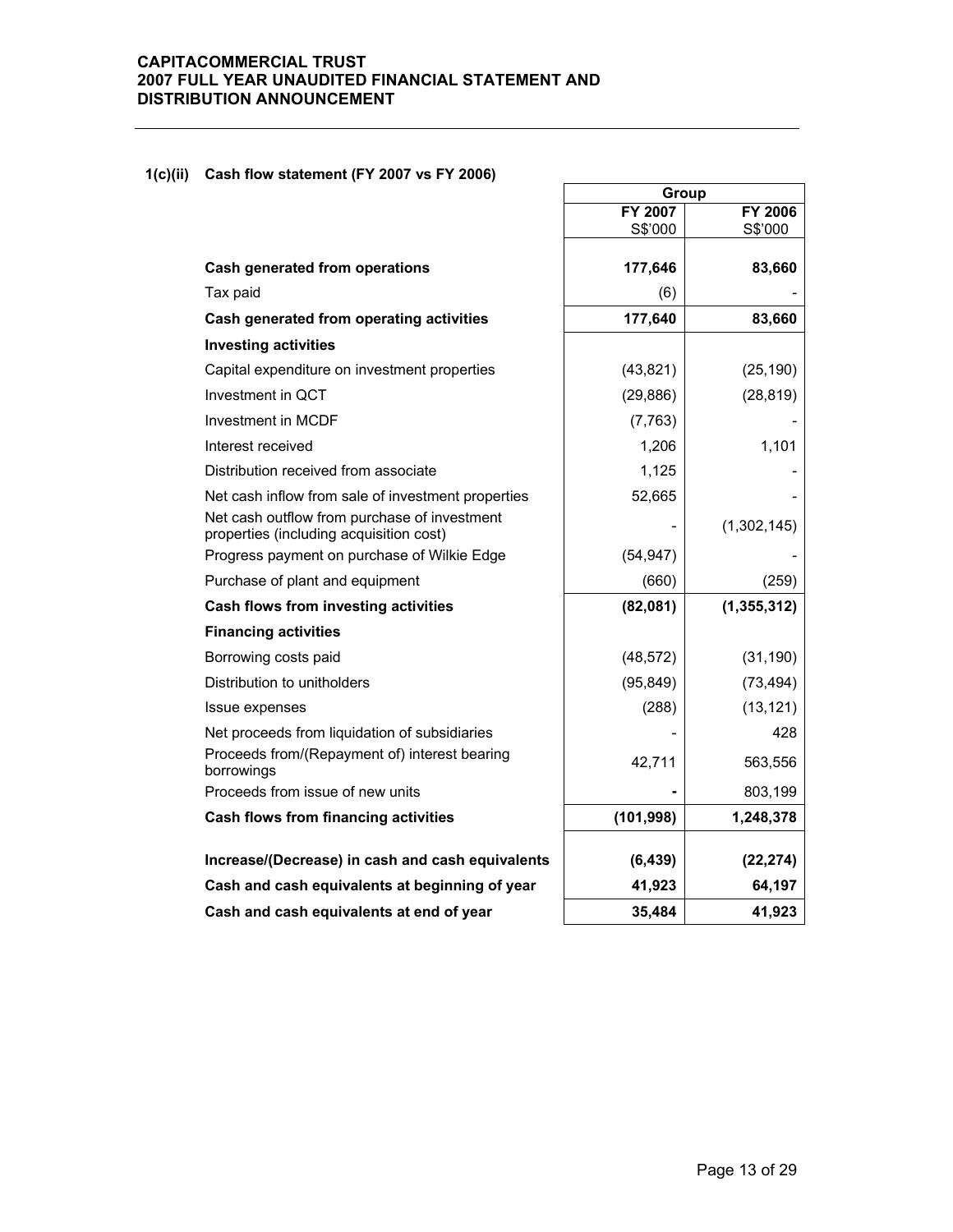### **1(c)(ii) Cash flow statement (FY 2007 vs FY 2006)**

|                                                                                         | Group      |               |  |
|-----------------------------------------------------------------------------------------|------------|---------------|--|
|                                                                                         | FY 2007    | FY 2006       |  |
|                                                                                         | S\$'000    | S\$'000       |  |
| Cash generated from operations                                                          | 177,646    | 83,660        |  |
| Tax paid                                                                                | (6)        |               |  |
| Cash generated from operating activities                                                | 177,640    | 83,660        |  |
| <b>Investing activities</b>                                                             |            |               |  |
| Capital expenditure on investment properties                                            | (43, 821)  | (25, 190)     |  |
| Investment in QCT                                                                       | (29, 886)  | (28, 819)     |  |
| Investment in MCDF                                                                      | (7, 763)   |               |  |
| Interest received                                                                       | 1,206      | 1,101         |  |
| Distribution received from associate                                                    | 1,125      |               |  |
| Net cash inflow from sale of investment properties                                      | 52,665     |               |  |
| Net cash outflow from purchase of investment<br>properties (including acquisition cost) |            | (1,302,145)   |  |
| Progress payment on purchase of Wilkie Edge                                             | (54, 947)  |               |  |
| Purchase of plant and equipment                                                         | (660)      | (259)         |  |
| Cash flows from investing activities                                                    | (82,081)   | (1, 355, 312) |  |
| <b>Financing activities</b>                                                             |            |               |  |
| Borrowing costs paid                                                                    | (48, 572)  | (31, 190)     |  |
| Distribution to unitholders                                                             | (95, 849)  | (73, 494)     |  |
| Issue expenses                                                                          | (288)      | (13, 121)     |  |
| Net proceeds from liquidation of subsidiaries                                           |            | 428           |  |
| Proceeds from/(Repayment of) interest bearing<br>borrowings                             | 42,711     | 563,556       |  |
| Proceeds from issue of new units                                                        |            | 803,199       |  |
| Cash flows from financing activities                                                    | (101, 998) | 1,248,378     |  |
| Increase/(Decrease) in cash and cash equivalents                                        | (6, 439)   | (22, 274)     |  |
| Cash and cash equivalents at beginning of year                                          | 41,923     | 64,197        |  |
| Cash and cash equivalents at end of year                                                | 35,484     | 41,923        |  |

 $\overline{a}$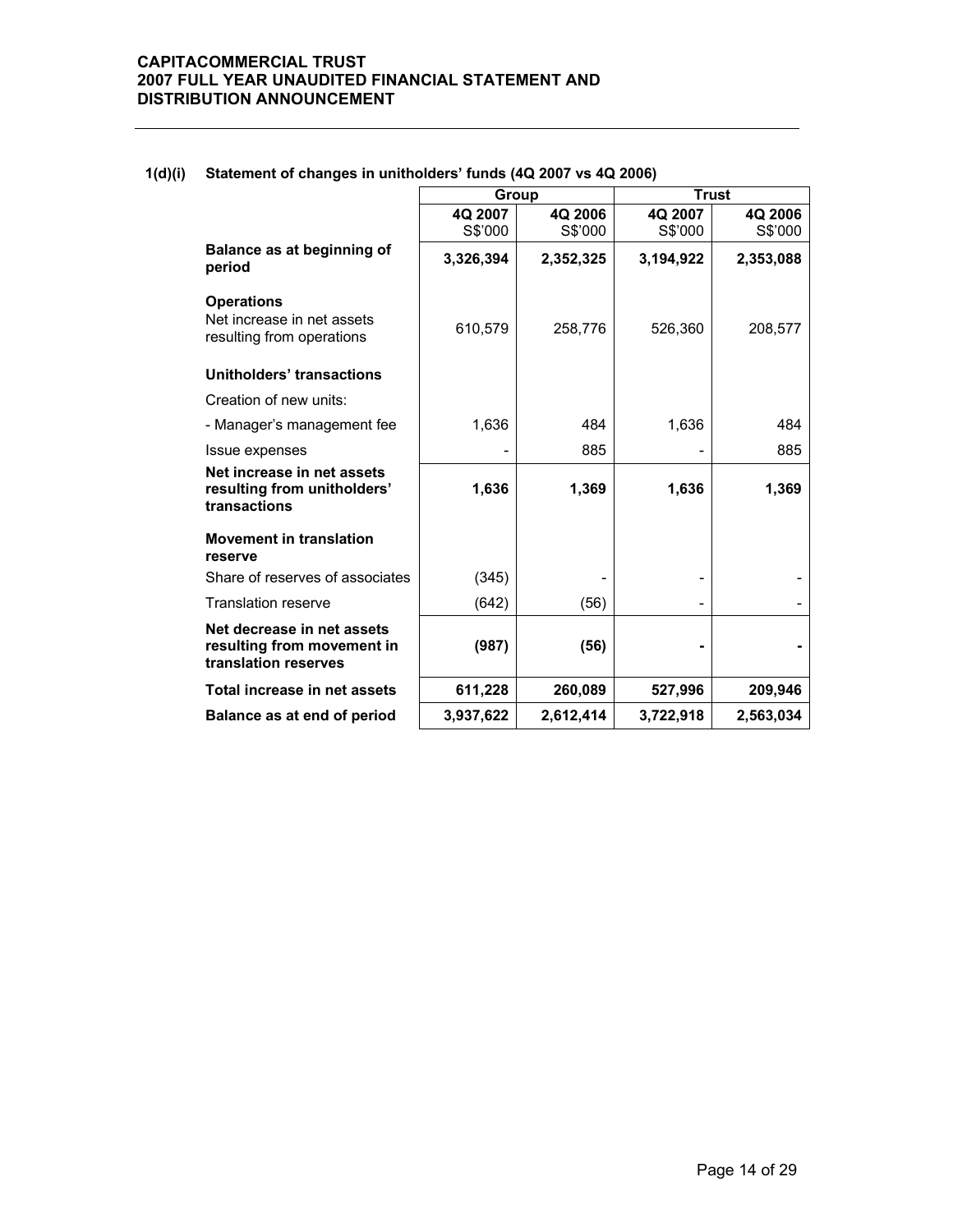|                                                                                  | Group     |           | <b>Trust</b> |           |
|----------------------------------------------------------------------------------|-----------|-----------|--------------|-----------|
|                                                                                  | 4Q 2007   | 4Q 2006   | 4Q 2007      | 4Q 2006   |
|                                                                                  | S\$'000   | S\$'000   | S\$'000      | S\$'000   |
| Balance as at beginning of<br>period                                             | 3,326,394 | 2,352,325 | 3,194,922    | 2,353,088 |
| <b>Operations</b><br>Net increase in net assets<br>resulting from operations     | 610,579   | 258,776   | 526,360      | 208,577   |
| Unitholders' transactions                                                        |           |           |              |           |
| Creation of new units:                                                           |           |           |              |           |
| - Manager's management fee                                                       | 1,636     | 484       | 1,636        | 484       |
| Issue expenses                                                                   |           | 885       |              | 885       |
| Net increase in net assets<br>resulting from unitholders'<br>transactions        | 1,636     | 1,369     | 1,636        | 1,369     |
| <b>Movement in translation</b><br>reserve                                        |           |           |              |           |
| Share of reserves of associates                                                  | (345)     |           |              |           |
| <b>Translation reserve</b>                                                       | (642)     | (56)      |              |           |
| Net decrease in net assets<br>resulting from movement in<br>translation reserves | (987)     | (56)      |              |           |
| Total increase in net assets                                                     | 611,228   | 260,089   | 527,996      | 209,946   |
| Balance as at end of period                                                      | 3,937,622 | 2,612,414 | 3,722,918    | 2.563.034 |

### **1(d)(i) Statement of changes in unitholders' funds (4Q 2007 vs 4Q 2006)**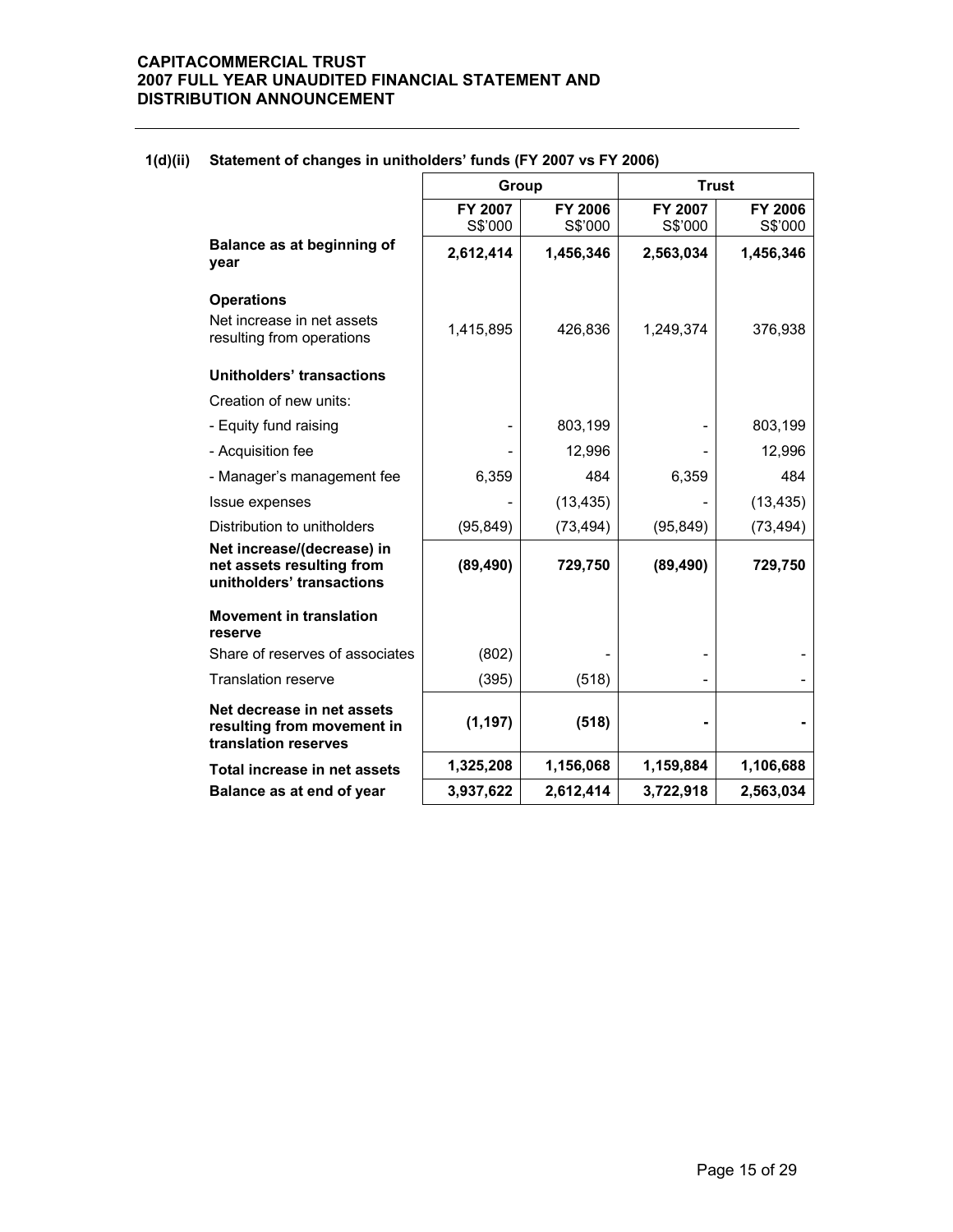|                                                                                      | Group              |                           | <b>Trust</b>             |                           |
|--------------------------------------------------------------------------------------|--------------------|---------------------------|--------------------------|---------------------------|
|                                                                                      | FY 2007<br>S\$'000 | <b>FY 2006</b><br>S\$'000 | FY 2007<br>S\$'000       | <b>FY 2006</b><br>S\$'000 |
| Balance as at beginning of<br>year                                                   | 2,612,414          | 1,456,346                 | 2,563,034                | 1,456,346                 |
| <b>Operations</b>                                                                    |                    |                           |                          |                           |
| Net increase in net assets<br>resulting from operations                              | 1,415,895          | 426,836                   | 1,249,374                | 376,938                   |
| Unitholders' transactions                                                            |                    |                           |                          |                           |
| Creation of new units:                                                               |                    |                           |                          |                           |
| - Equity fund raising                                                                |                    | 803,199                   |                          | 803,199                   |
| - Acquisition fee                                                                    |                    | 12,996                    |                          | 12,996                    |
| - Manager's management fee                                                           | 6,359              | 484                       | 6,359                    | 484                       |
| Issue expenses                                                                       |                    | (13, 435)                 |                          | (13, 435)                 |
| Distribution to unitholders                                                          | (95, 849)          | (73, 494)                 | (95, 849)                | (73, 494)                 |
| Net increase/(decrease) in<br>net assets resulting from<br>unitholders' transactions | (89, 490)          | 729,750                   | (89, 490)                | 729,750                   |
| <b>Movement in translation</b><br>reserve                                            |                    |                           |                          |                           |
| Share of reserves of associates                                                      | (802)              |                           |                          |                           |
| <b>Translation reserve</b>                                                           | (395)              | (518)                     | $\overline{\phantom{a}}$ |                           |
| Net decrease in net assets<br>resulting from movement in<br>translation reserves     | (1, 197)           | (518)                     |                          |                           |
| Total increase in net assets                                                         | 1,325,208          | 1,156,068                 | 1,159,884                | 1,106,688                 |
| Balance as at end of year                                                            | 3,937,622          | 2,612,414                 | 3,722,918                | 2,563,034                 |

### **1(d)(ii) Statement of changes in unitholders' funds (FY 2007 vs FY 2006)**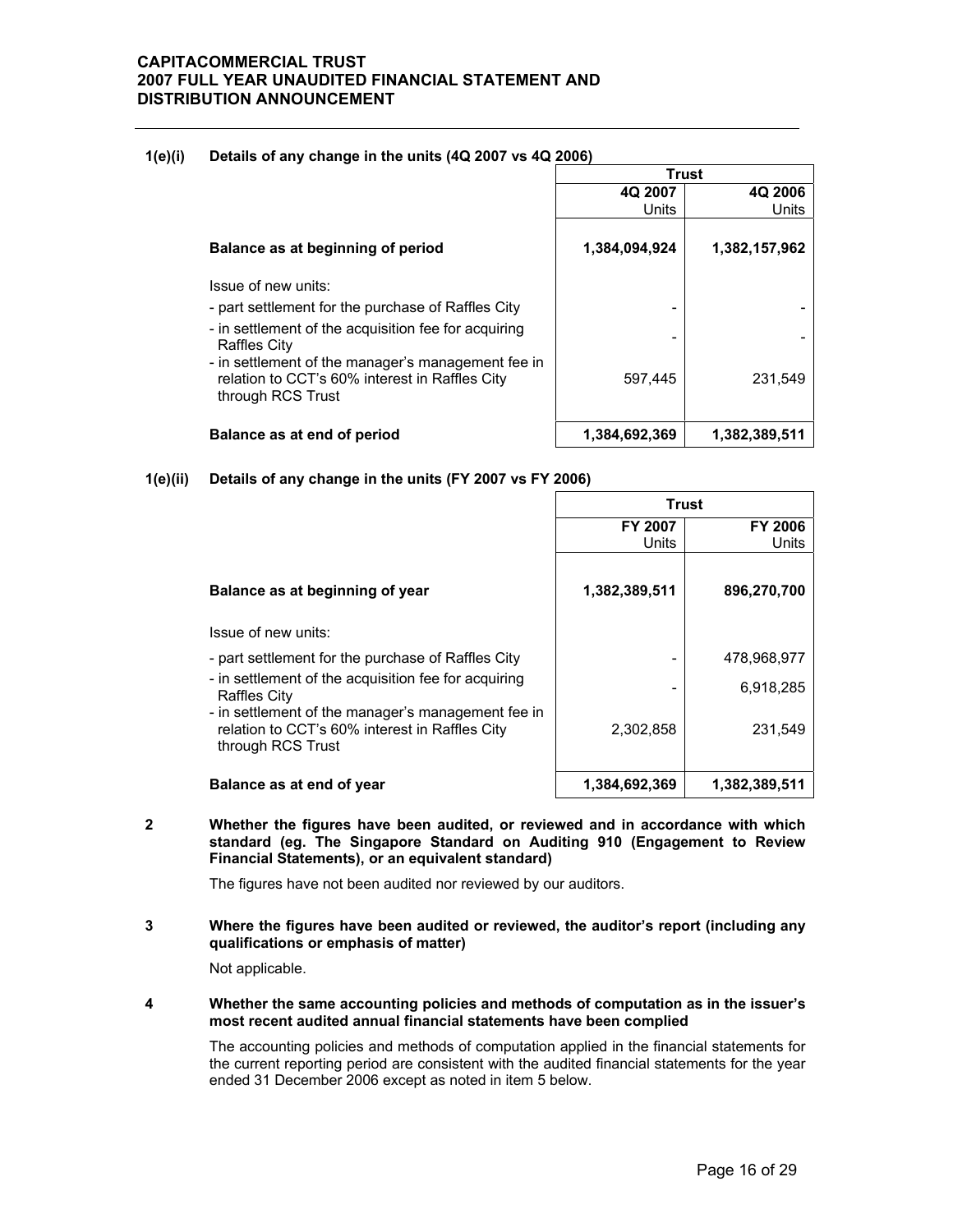| $\cdots$ |                                                                                                                           | <b>Trust</b>  |               |  |  |
|----------|---------------------------------------------------------------------------------------------------------------------------|---------------|---------------|--|--|
|          |                                                                                                                           | 4Q 2007       | 4Q 2006       |  |  |
|          |                                                                                                                           | Units         | Units         |  |  |
|          | Balance as at beginning of period                                                                                         | 1,384,094,924 | 1,382,157,962 |  |  |
|          | Issue of new units:                                                                                                       |               |               |  |  |
|          | - part settlement for the purchase of Raffles City                                                                        |               |               |  |  |
|          | - in settlement of the acquisition fee for acquiring<br><b>Raffles City</b>                                               |               |               |  |  |
|          | - in settlement of the manager's management fee in<br>relation to CCT's 60% interest in Raffles City<br>through RCS Trust | 597,445       | 231,549       |  |  |
|          | Balance as at end of period                                                                                               | 1,384,692,369 | 1,382,389,511 |  |  |

### **1(e)(i) Details of any change in the units (4Q 2007 vs 4Q 2006)**

**1(e)(ii) Details of any change in the units (FY 2007 vs FY 2006)**

|                                                                                                                           | <b>Trust</b>            |                         |  |
|---------------------------------------------------------------------------------------------------------------------------|-------------------------|-------------------------|--|
|                                                                                                                           | <b>FY 2007</b><br>Units | <b>FY 2006</b><br>Units |  |
| Balance as at beginning of year                                                                                           | 1,382,389,511           | 896,270,700             |  |
| Issue of new units:                                                                                                       |                         |                         |  |
| - part settlement for the purchase of Raffles City                                                                        |                         | 478.968.977             |  |
| - in settlement of the acquisition fee for acquiring<br><b>Raffles City</b>                                               |                         | 6,918,285               |  |
| - in settlement of the manager's management fee in<br>relation to CCT's 60% interest in Raffles City<br>through RCS Trust | 2,302,858               | 231,549                 |  |
| Balance as at end of year                                                                                                 | 1,384,692,369           | 1,382,389,511           |  |

**2 Whether the figures have been audited, or reviewed and in accordance with which standard (eg. The Singapore Standard on Auditing 910 (Engagement to Review Financial Statements), or an equivalent standard)** 

The figures have not been audited nor reviewed by our auditors.

**3 Where the figures have been audited or reviewed, the auditor's report (including any qualifications or emphasis of matter)** 

Not applicable.

**4 Whether the same accounting policies and methods of computation as in the issuer's most recent audited annual financial statements have been complied** 

The accounting policies and methods of computation applied in the financial statements for the current reporting period are consistent with the audited financial statements for the year ended 31 December 2006 except as noted in item 5 below.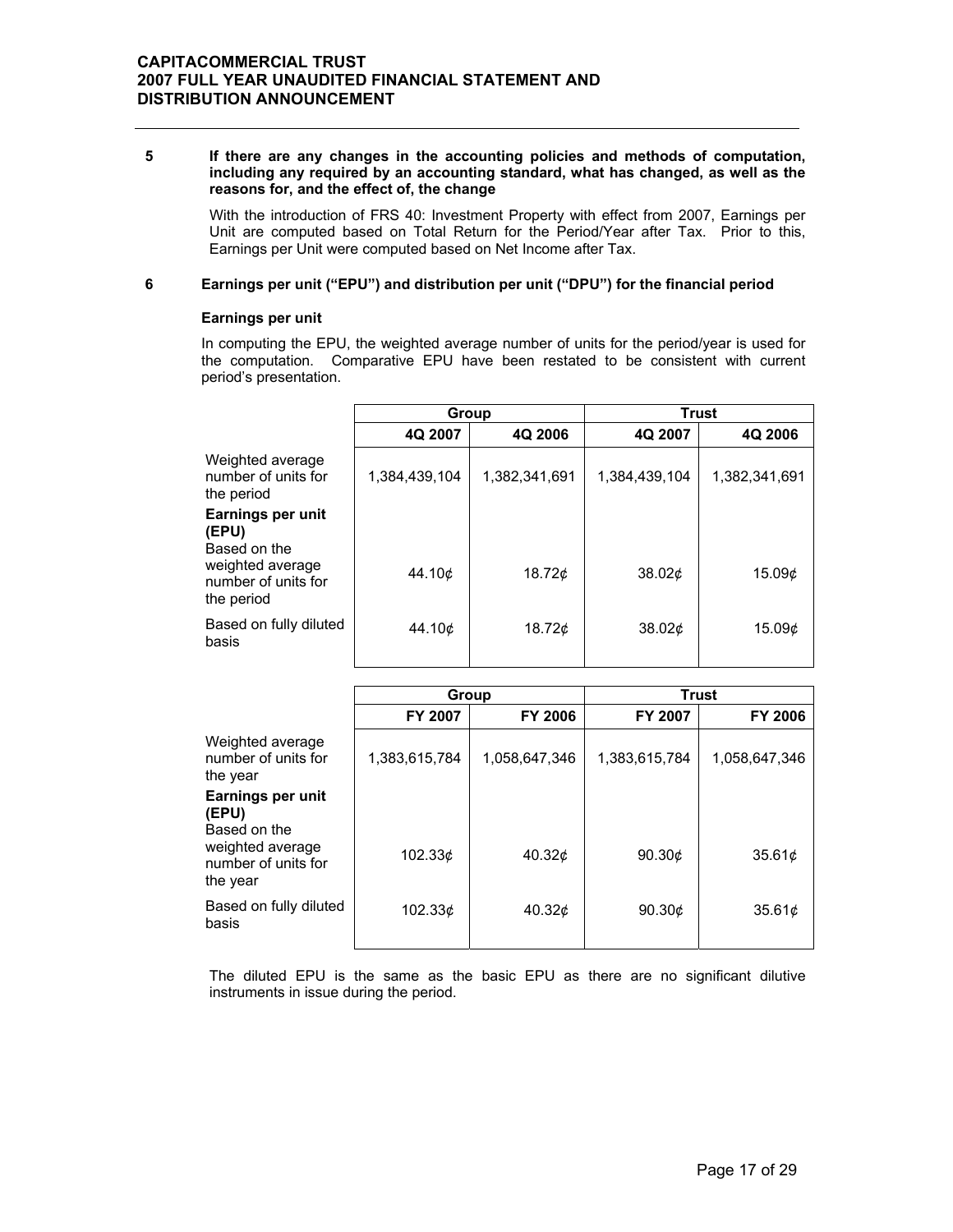#### **5 If there are any changes in the accounting policies and methods of computation, including any required by an accounting standard, what has changed, as well as the reasons for, and the effect of, the change**

 With the introduction of FRS 40: Investment Property with effect from 2007, Earnings per Unit are computed based on Total Return for the Period/Year after Tax. Prior to this, Earnings per Unit were computed based on Net Income after Tax.

### **6 Earnings per unit ("EPU") and distribution per unit ("DPU") for the financial period**

### **Earnings per unit**

In computing the EPU, the weighted average number of units for the period/year is used for the computation. Comparative EPU have been restated to be consistent with current period's presentation.

| 4Q 2007       | 4Q 2006       | 4Q 2007                | 4Q 2006                            |
|---------------|---------------|------------------------|------------------------------------|
| 1,384,439,104 | 1,382,341,691 | 1,384,439,104          | 1,382,341,691                      |
|               |               |                        |                                    |
|               |               |                        | 15.096                             |
| 44.10¢        | 18.72 $\phi$  | 38.02 <sub>¢</sub>     | 15.09 <sub>¢</sub>                 |
|               | 44.10¢        | <b>Group</b><br>18.72c | <b>Trust</b><br>38.02 <sub>¢</sub> |

|                                                                     | Group         |               | <b>Trust</b>   |                    |
|---------------------------------------------------------------------|---------------|---------------|----------------|--------------------|
|                                                                     | FY 2007       | FY 2006       | <b>FY 2007</b> | <b>FY 2006</b>     |
| Weighted average<br>number of units for<br>the year                 | 1,383,615,784 | 1,058,647,346 | 1,383,615,784  | 1,058,647,346      |
| Earnings per unit<br>(EPU)                                          |               |               |                |                    |
| Based on the<br>weighted average<br>number of units for<br>the year | 102.33¢       | 40.32¢        | 90.30¢         | 35.61 <sub>¢</sub> |
| Based on fully diluted<br>basis                                     | 102.33c       | 40.32 $\phi$  | 90.30 $\phi$   | 35.61¢             |

The diluted EPU is the same as the basic EPU as there are no significant dilutive instruments in issue during the period.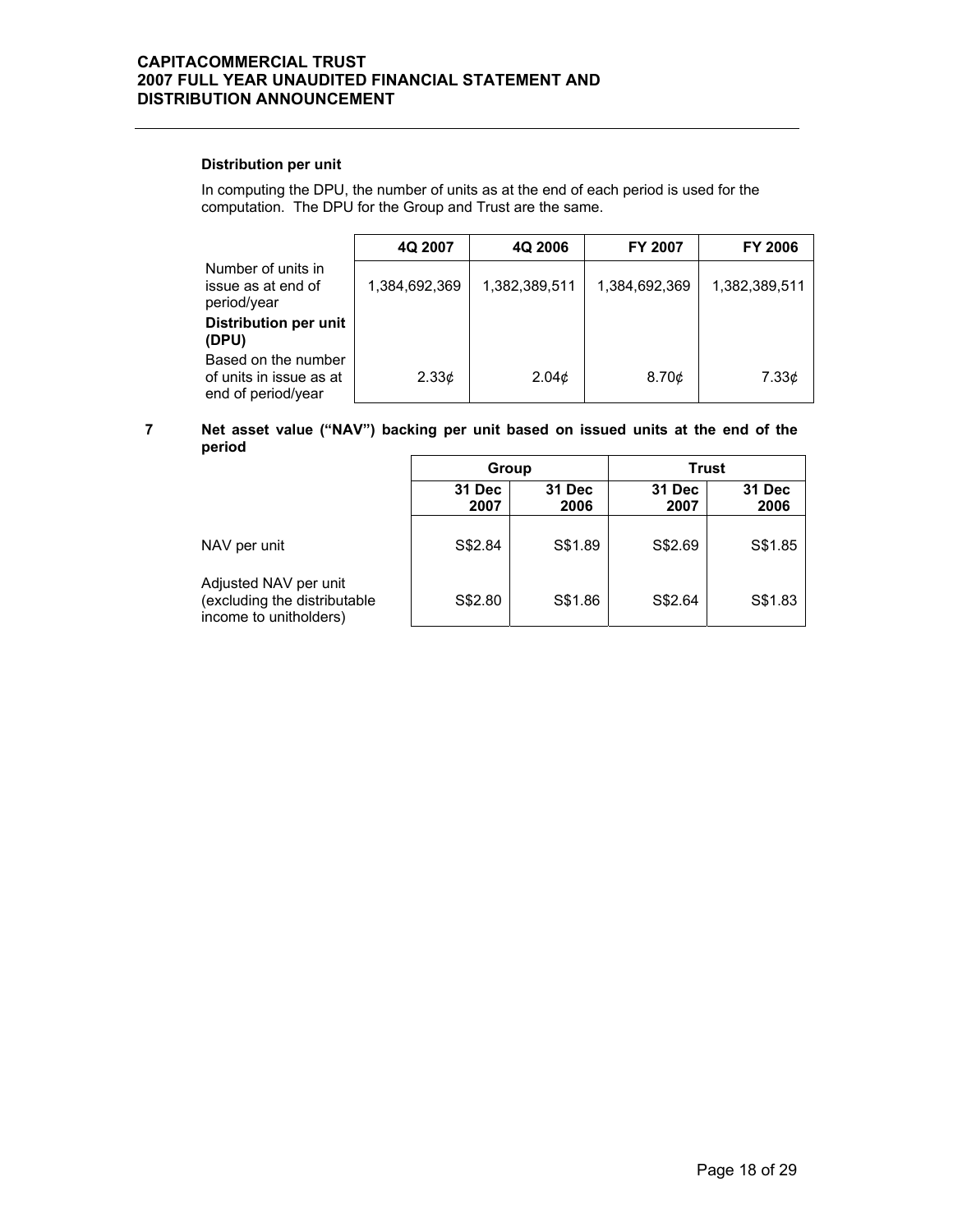### **Distribution per unit**

In computing the DPU, the number of units as at the end of each period is used for the computation. The DPU for the Group and Trust are the same.

|                                                                      | 4Q 2007           | 4Q 2006           | <b>FY 2007</b> | <b>FY 2006</b> |
|----------------------------------------------------------------------|-------------------|-------------------|----------------|----------------|
| Number of units in<br>issue as at end of<br>period/year              | 1,384,692,369     | 1,382,389,511     | 1,384,692,369  | 1,382,389,511  |
| Distribution per unit<br>(DPU)                                       |                   |                   |                |                |
| Based on the number<br>of units in issue as at<br>end of period/year | 2.33 <sub>¢</sub> | 2.04 <sub>c</sub> | 8.70¢          | 7.33¢          |

### **7 Net asset value ("NAV") backing per unit based on issued units at the end of the period**

|                                                                                 | Group          |                | <b>Trust</b>          |                |
|---------------------------------------------------------------------------------|----------------|----------------|-----------------------|----------------|
|                                                                                 | 31 Dec<br>2007 | 31 Dec<br>2006 | <b>31 Dec</b><br>2007 | 31 Dec<br>2006 |
| NAV per unit                                                                    | S\$2.84        | S\$1.89        | S\$2.69               | S\$1.85        |
| Adjusted NAV per unit<br>(excluding the distributable<br>income to unitholders) | S\$2.80        | S\$1.86        | S\$2.64               | S\$1.83        |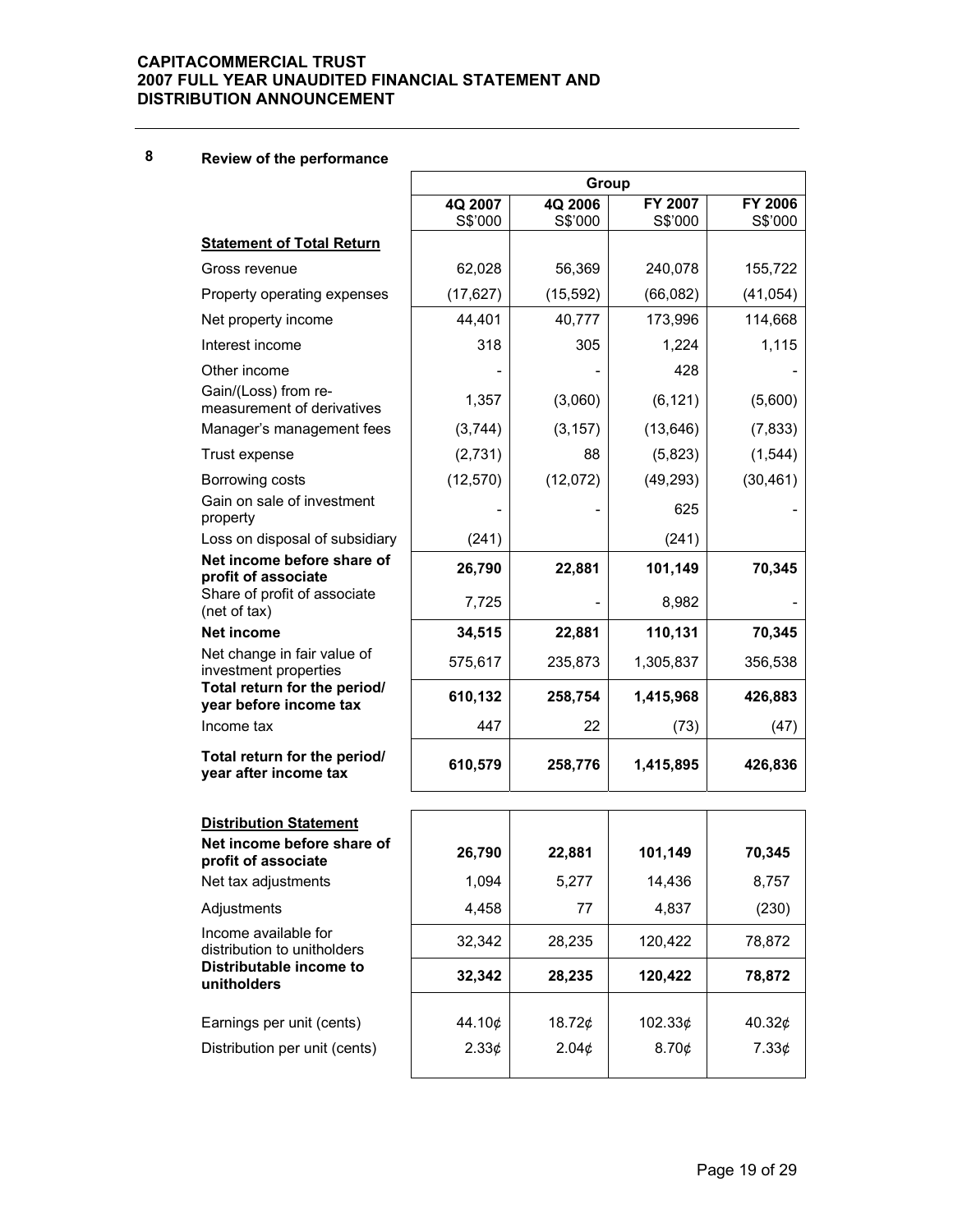## **8 Review of the performance**

|                                                        | Group              |                    |                    |                    |  |
|--------------------------------------------------------|--------------------|--------------------|--------------------|--------------------|--|
|                                                        | 4Q 2007<br>S\$'000 | 4Q 2006<br>S\$'000 | FY 2007<br>S\$'000 | FY 2006<br>S\$'000 |  |
| <b>Statement of Total Return</b>                       |                    |                    |                    |                    |  |
| Gross revenue                                          | 62,028             | 56,369             | 240,078            | 155,722            |  |
| Property operating expenses                            | (17, 627)          | (15, 592)          | (66,082)           | (41, 054)          |  |
| Net property income                                    | 44,401             | 40,777             | 173,996            | 114,668            |  |
| Interest income                                        | 318                | 305                | 1,224              | 1,115              |  |
| Other income<br>Gain/(Loss) from re-                   |                    |                    | 428                |                    |  |
| measurement of derivatives                             | 1,357              | (3,060)            | (6, 121)           | (5,600)            |  |
| Manager's management fees                              | (3,744)            | (3, 157)           | (13, 646)          | (7, 833)           |  |
| Trust expense                                          | (2,731)            | 88                 | (5,823)            | (1, 544)           |  |
| Borrowing costs                                        | (12, 570)          | (12,072)           | (49, 293)          | (30, 461)          |  |
| Gain on sale of investment<br>property                 |                    |                    | 625                |                    |  |
| Loss on disposal of subsidiary                         | (241)              |                    | (241)              |                    |  |
| Net income before share of<br>profit of associate      | 26,790             | 22,881             | 101,149            | 70,345             |  |
| Share of profit of associate<br>(net of tax)           | 7,725              |                    | 8,982              |                    |  |
| <b>Net income</b>                                      | 34,515             | 22,881             | 110,131            | 70,345             |  |
| Net change in fair value of<br>investment properties   | 575,617            | 235,873            | 1,305,837          | 356,538            |  |
| Total return for the period/<br>year before income tax | 610,132            | 258,754            | 1,415,968          | 426,883            |  |
| Income tax                                             | 447                | 22                 | (73)               | (47)               |  |
| Total return for the period/<br>year after income tax  | 610,579            | 258,776            | 1,415,895          | 426,836            |  |
| <b>Distribution Statement</b>                          |                    |                    |                    |                    |  |
| Net income before share of<br>profit of associate      | 26,790             | 22,881             | 101,149            | 70,345             |  |
| Net tax adjustments                                    | 1,094              | 5,277              | 14,436             | 8,757              |  |
| Adjustments                                            | 4,458              | 77                 | 4,837              | (230)              |  |
| Income available for<br>distribution to unitholders    | 32,342             | 28,235             | 120,422            | 78,872             |  |
| Distributable income to<br>unitholders                 | 32,342             | 28,235             | 120,422            | 78,872             |  |
| Earnings per unit (cents)                              | 44.10¢             | 18.72¢             | 102.33¢            | 40.32¢             |  |
| Distribution per unit (cents)                          | 2.33¢              | 2.04¢              | 8.70¢              | 7.33¢              |  |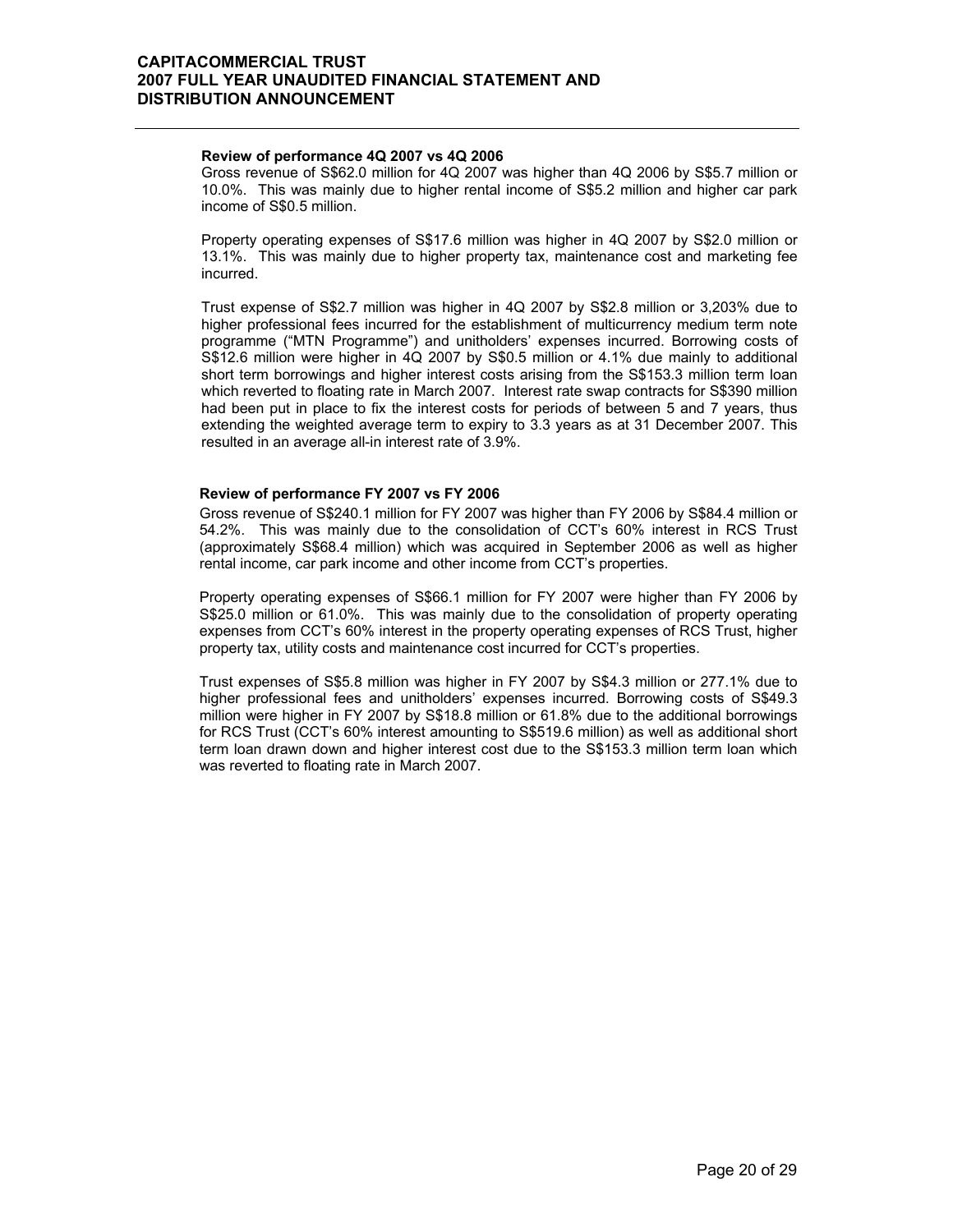### **Review of performance 4Q 2007 vs 4Q 2006**

 Gross revenue of S\$62.0 million for 4Q 2007 was higher than 4Q 2006 by S\$5.7 million or 10.0%. This was mainly due to higher rental income of S\$5.2 million and higher car park income of S\$0.5 million.

Property operating expenses of S\$17.6 million was higher in 4Q 2007 by S\$2.0 million or 13.1%. This was mainly due to higher property tax, maintenance cost and marketing fee incurred.

Trust expense of S\$2.7 million was higher in 4Q 2007 by S\$2.8 million or 3,203% due to higher professional fees incurred for the establishment of multicurrency medium term note programme ("MTN Programme") and unitholders' expenses incurred. Borrowing costs of S\$12.6 million were higher in 4Q 2007 by S\$0.5 million or 4.1% due mainly to additional short term borrowings and higher interest costs arising from the S\$153.3 million term loan which reverted to floating rate in March 2007. Interest rate swap contracts for S\$390 million had been put in place to fix the interest costs for periods of between 5 and 7 years, thus extending the weighted average term to expiry to 3.3 years as at 31 December 2007. This resulted in an average all-in interest rate of 3.9%.

### **Review of performance FY 2007 vs FY 2006**

 Gross revenue of S\$240.1 million for FY 2007 was higher than FY 2006 by S\$84.4 million or 54.2%. This was mainly due to the consolidation of CCT's 60% interest in RCS Trust (approximately S\$68.4 million) which was acquired in September 2006 as well as higher rental income, car park income and other income from CCT's properties.

Property operating expenses of S\$66.1 million for FY 2007 were higher than FY 2006 by S\$25.0 million or 61.0%. This was mainly due to the consolidation of property operating expenses from CCT's 60% interest in the property operating expenses of RCS Trust, higher property tax, utility costs and maintenance cost incurred for CCT's properties.

Trust expenses of S\$5.8 million was higher in FY 2007 by S\$4.3 million or 277.1% due to higher professional fees and unitholders' expenses incurred. Borrowing costs of S\$49.3 million were higher in FY 2007 by S\$18.8 million or 61.8% due to the additional borrowings for RCS Trust (CCT's 60% interest amounting to S\$519.6 million) as well as additional short term loan drawn down and higher interest cost due to the S\$153.3 million term loan which was reverted to floating rate in March 2007.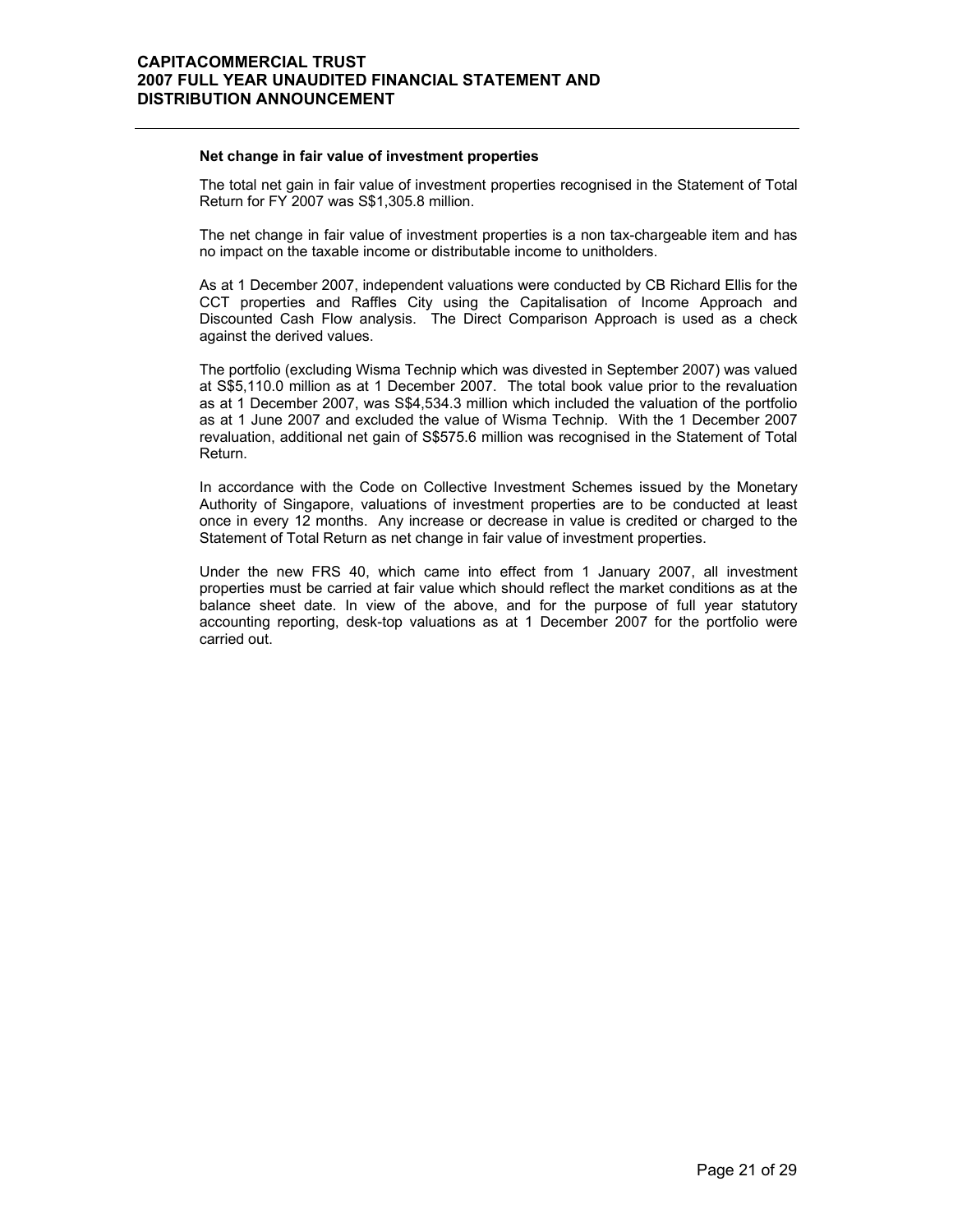#### **Net change in fair value of investment properties**

 The total net gain in fair value of investment properties recognised in the Statement of Total Return for FY 2007 was S\$1,305.8 million.

The net change in fair value of investment properties is a non tax-chargeable item and has no impact on the taxable income or distributable income to unitholders.

As at 1 December 2007, independent valuations were conducted by CB Richard Ellis for the CCT properties and Raffles City using the Capitalisation of Income Approach and Discounted Cash Flow analysis. The Direct Comparison Approach is used as a check against the derived values.

The portfolio (excluding Wisma Technip which was divested in September 2007) was valued at S\$5,110.0 million as at 1 December 2007. The total book value prior to the revaluation as at 1 December 2007, was S\$4,534.3 million which included the valuation of the portfolio as at 1 June 2007 and excluded the value of Wisma Technip. With the 1 December 2007 revaluation, additional net gain of S\$575.6 million was recognised in the Statement of Total Return.

In accordance with the Code on Collective Investment Schemes issued by the Monetary Authority of Singapore, valuations of investment properties are to be conducted at least once in every 12 months. Any increase or decrease in value is credited or charged to the Statement of Total Return as net change in fair value of investment properties.

Under the new FRS 40, which came into effect from 1 January 2007, all investment properties must be carried at fair value which should reflect the market conditions as at the balance sheet date. In view of the above, and for the purpose of full year statutory accounting reporting, desk-top valuations as at 1 December 2007 for the portfolio were carried out.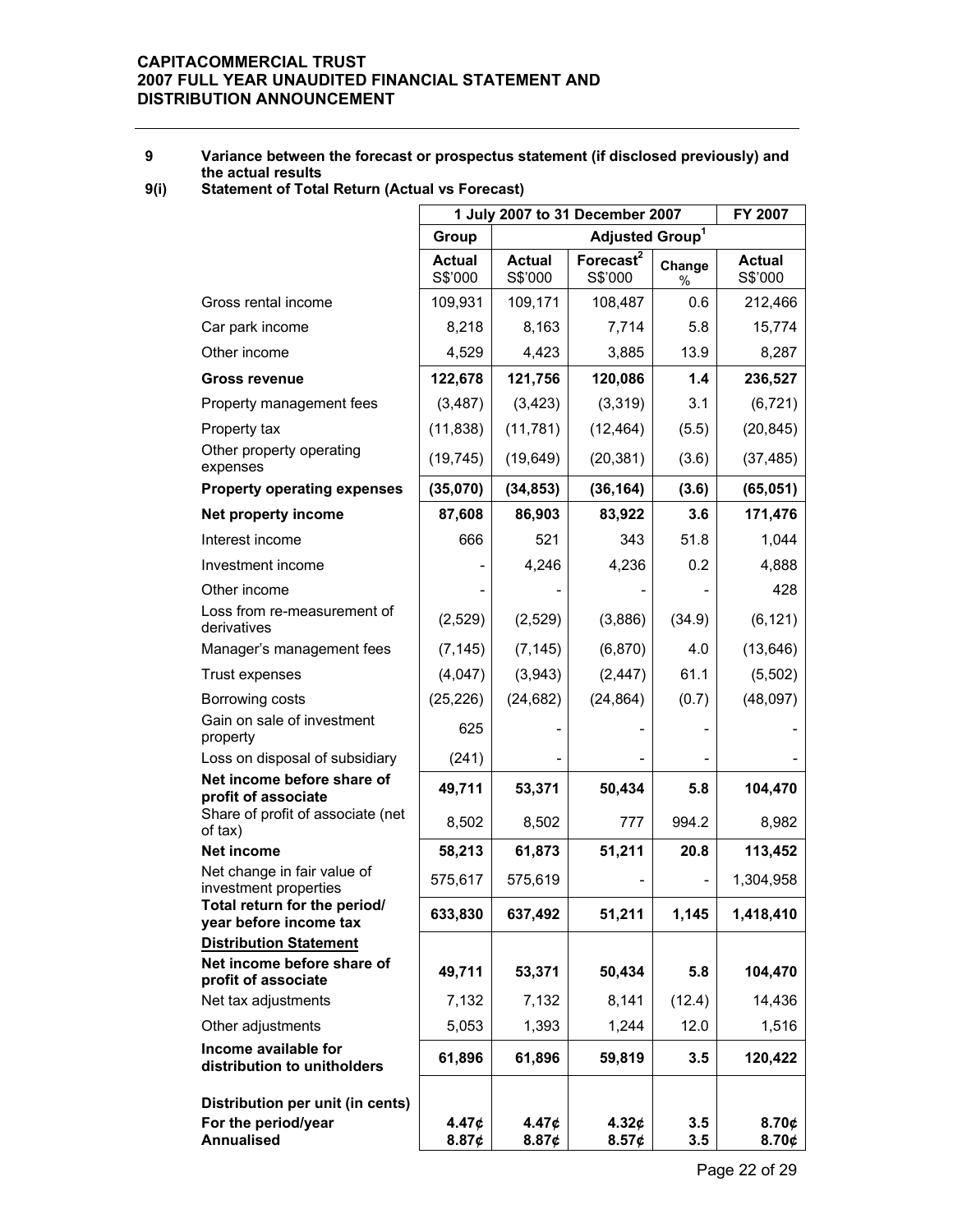### **9 Variance between the forecast or prospectus statement (if disclosed previously) and the actual results**

### **9(i) Statement of Total Return (Actual vs Forecast)**

|                                                                              | 1 July 2007 to 31 December 2007 | FY 2007                    |                                  |             |                          |
|------------------------------------------------------------------------------|---------------------------------|----------------------------|----------------------------------|-------------|--------------------------|
|                                                                              | Group                           |                            | Adjusted Group <sup>1</sup>      |             |                          |
|                                                                              | <b>Actual</b><br>S\$'000        | <b>Actual</b><br>S\$'000   | Forecast <sup>2</sup><br>S\$'000 | Change<br>% | <b>Actual</b><br>S\$'000 |
| Gross rental income                                                          | 109,931                         | 109,171                    | 108,487                          | 0.6         | 212,466                  |
| Car park income                                                              | 8,218                           | 8,163                      | 7,714                            | 5.8         | 15,774                   |
| Other income                                                                 | 4,529                           | 4,423                      | 3,885                            | 13.9        | 8,287                    |
| <b>Gross revenue</b>                                                         | 122,678                         | 121,756                    | 120,086                          | 1.4         | 236,527                  |
| Property management fees                                                     | (3, 487)                        | (3, 423)                   | (3,319)                          | 3.1         | (6, 721)                 |
| Property tax                                                                 | (11, 838)                       | (11, 781)                  | (12, 464)                        | (5.5)       | (20, 845)                |
| Other property operating<br>expenses                                         | (19, 745)                       | (19, 649)                  | (20, 381)                        | (3.6)       | (37, 485)                |
| <b>Property operating expenses</b>                                           | (35,070)                        | (34, 853)                  | (36, 164)                        | (3.6)       | (65, 051)                |
| Net property income                                                          | 87,608                          | 86,903                     | 83,922                           | 3.6         | 171,476                  |
| Interest income                                                              | 666                             | 521                        | 343                              | 51.8        | 1,044                    |
| Investment income                                                            |                                 | 4,246                      | 4,236                            | 0.2         | 4,888                    |
| Other income                                                                 |                                 |                            |                                  |             | 428                      |
| Loss from re-measurement of<br>derivatives                                   | (2,529)                         | (2,529)                    | (3,886)                          | (34.9)      | (6, 121)                 |
| Manager's management fees                                                    | (7, 145)                        | (7, 145)                   | (6, 870)                         | 4.0         | (13, 646)                |
| Trust expenses                                                               | (4,047)                         | (3,943)                    | (2, 447)                         | 61.1        | (5,502)                  |
| Borrowing costs                                                              | (25, 226)                       | (24, 682)                  | (24, 864)                        | (0.7)       | (48,097)                 |
| Gain on sale of investment<br>property                                       | 625                             |                            |                                  |             |                          |
| Loss on disposal of subsidiary                                               | (241)                           |                            |                                  |             |                          |
| Net income before share of<br>profit of associate                            | 49,711                          | 53,371                     | 50,434                           | 5.8         | 104,470                  |
| Share of profit of associate (net<br>of tax)                                 | 8,502                           | 8,502                      | 777                              | 994.2       | 8,982                    |
| <b>Net income</b>                                                            | 58,213                          | 61,873                     | 51,211                           | 20.8        | 113,452                  |
| Net change in fair value of<br>investment properties                         | 575,617                         | 575,619                    |                                  |             | 1,304,958                |
| Total return for the period/<br>year before income tax                       | 633,830                         | 637,492                    | 51,211                           | 1,145       | 1,418,410                |
| <b>Distribution Statement</b>                                                |                                 |                            |                                  |             |                          |
| Net income before share of<br>profit of associate                            | 49,711                          | 53,371                     | 50,434                           | 5.8         | 104,470                  |
| Net tax adjustments                                                          | 7,132                           | 7,132                      | 8,141                            | (12.4)      | 14,436                   |
| Other adjustments                                                            | 5,053                           | 1,393                      | 1,244                            | 12.0        | 1,516                    |
| Income available for<br>distribution to unitholders                          | 61,896                          | 61,896                     | 59,819                           | 3.5         | 120,422                  |
|                                                                              |                                 |                            |                                  |             |                          |
| Distribution per unit (in cents)<br>For the period/year<br><b>Annualised</b> | 4.47¢<br>8.87¢                  | 4.47 <sub>¢</sub><br>8.87¢ | 4.32¢<br>8.57¢                   | 3.5<br>3.5  | 8.70¢<br>8.70¢           |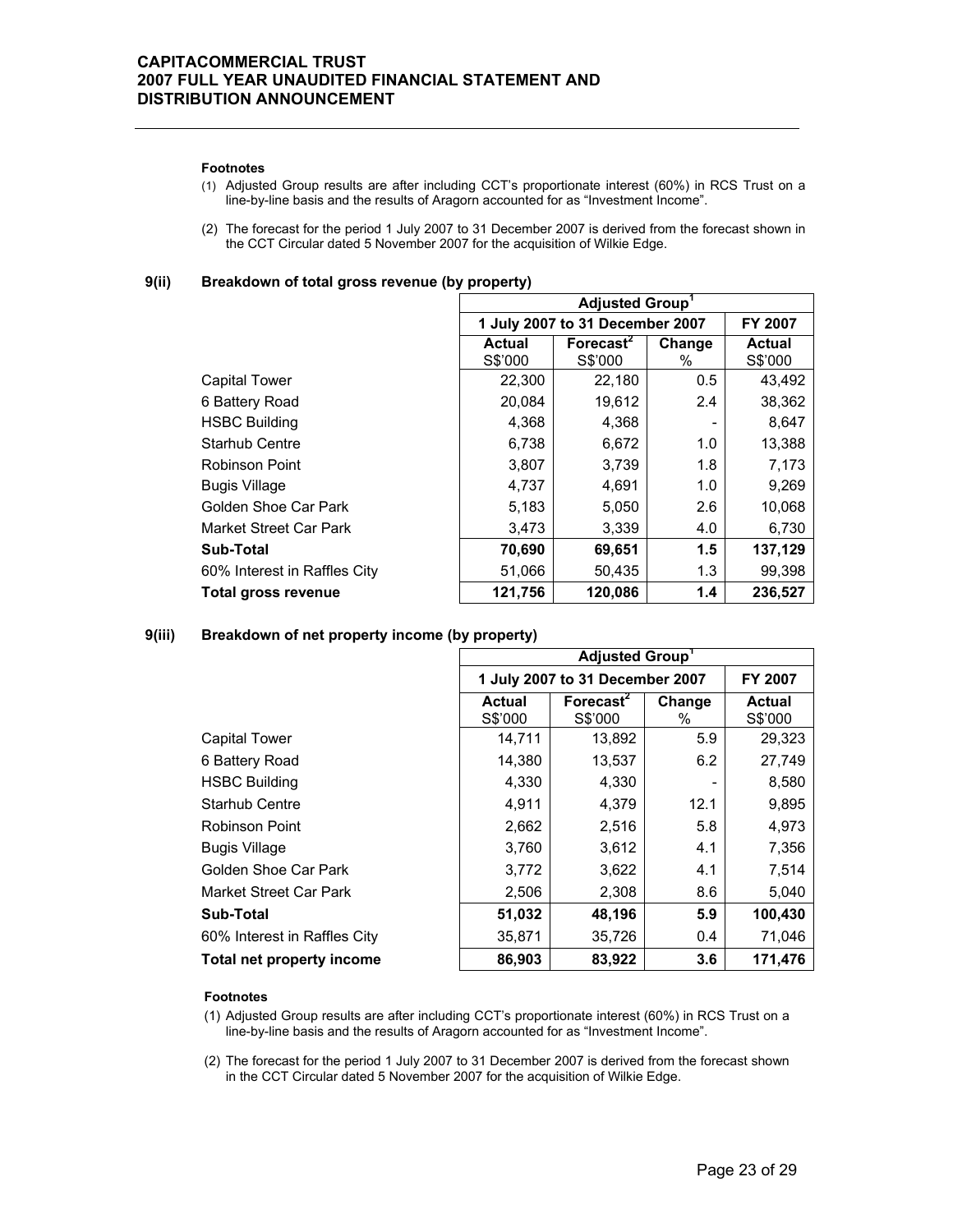#### **Footnotes**

- (1) Adjusted Group results are after including CCT's proportionate interest (60%) in RCS Trust on a line-by-line basis and the results of Aragorn accounted for as "Investment Income".
- (2) The forecast for the period 1 July 2007 to 31 December 2007 is derived from the forecast shown in the CCT Circular dated 5 November 2007 for the acquisition of Wilkie Edge.

**9(ii) Breakdown of total gross revenue (by property)** 

|                              | <b>Adjusted Group</b>    |                                  |             |                          |  |
|------------------------------|--------------------------|----------------------------------|-------------|--------------------------|--|
|                              |                          | 1 July 2007 to 31 December 2007  |             |                          |  |
|                              | <b>Actual</b><br>S\$'000 | Forecast <sup>2</sup><br>S\$'000 | Change<br>% | <b>Actual</b><br>S\$'000 |  |
| <b>Capital Tower</b>         | 22,300                   | 22,180                           | 0.5         | 43,492                   |  |
| 6 Battery Road               | 20,084                   | 19,612                           | 2.4         | 38,362                   |  |
| <b>HSBC Building</b>         | 4,368                    | 4,368                            |             | 8,647                    |  |
| <b>Starhub Centre</b>        | 6,738                    | 6,672                            | 1.0         | 13,388                   |  |
| Robinson Point               | 3,807                    | 3,739                            | 1.8         | 7,173                    |  |
| <b>Bugis Village</b>         | 4,737                    | 4,691                            | 1.0         | 9,269                    |  |
| Golden Shoe Car Park         | 5,183                    | 5,050                            | 2.6         | 10,068                   |  |
| Market Street Car Park       | 3,473                    | 3,339                            | 4.0         | 6,730                    |  |
| Sub-Total                    | 70,690                   | 69,651                           | 1.5         | 137,129                  |  |
| 60% Interest in Raffles City | 51,066                   | 50,435                           | 1.3         | 99,398                   |  |
| Total gross revenue          | 121,756                  | 120,086                          | 1.4         | 236,527                  |  |

### **9(iii) Breakdown of net property income (by property)**

|                              | <b>Adjusted Group</b>    |                                                 |      |         |  |
|------------------------------|--------------------------|-------------------------------------------------|------|---------|--|
|                              |                          | 1 July 2007 to 31 December 2007                 |      |         |  |
|                              | <b>Actual</b><br>S\$'000 | Forecast <sup>2</sup><br>Change<br>S\$'000<br>% |      |         |  |
| <b>Capital Tower</b>         | 14,711                   | 13,892                                          | 5.9  | 29,323  |  |
| 6 Battery Road               | 14,380                   | 13,537                                          | 6.2  | 27,749  |  |
| <b>HSBC Building</b>         | 4,330                    | 4,330                                           |      | 8,580   |  |
| <b>Starhub Centre</b>        | 4,911                    | 4,379                                           | 12.1 | 9,895   |  |
| Robinson Point               | 2,662                    | 2,516                                           | 5.8  | 4,973   |  |
| <b>Bugis Village</b>         | 3,760                    | 3,612                                           | 4.1  | 7,356   |  |
| Golden Shoe Car Park         | 3,772                    | 3,622                                           | 4.1  | 7,514   |  |
| Market Street Car Park       | 2,506                    | 2,308                                           | 8.6  | 5,040   |  |
| Sub-Total                    | 51,032                   | 48,196                                          | 5.9  | 100,430 |  |
| 60% Interest in Raffles City | 35,871                   | 35,726                                          | 0.4  | 71,046  |  |
| Total net property income    | 86,903                   | 83,922                                          | 3.6  | 171,476 |  |

#### **Footnotes**

(1) Adjusted Group results are after including CCT's proportionate interest (60%) in RCS Trust on a line-by-line basis and the results of Aragorn accounted for as "Investment Income".

(2) The forecast for the period 1 July 2007 to 31 December 2007 is derived from the forecast shown in the CCT Circular dated 5 November 2007 for the acquisition of Wilkie Edge.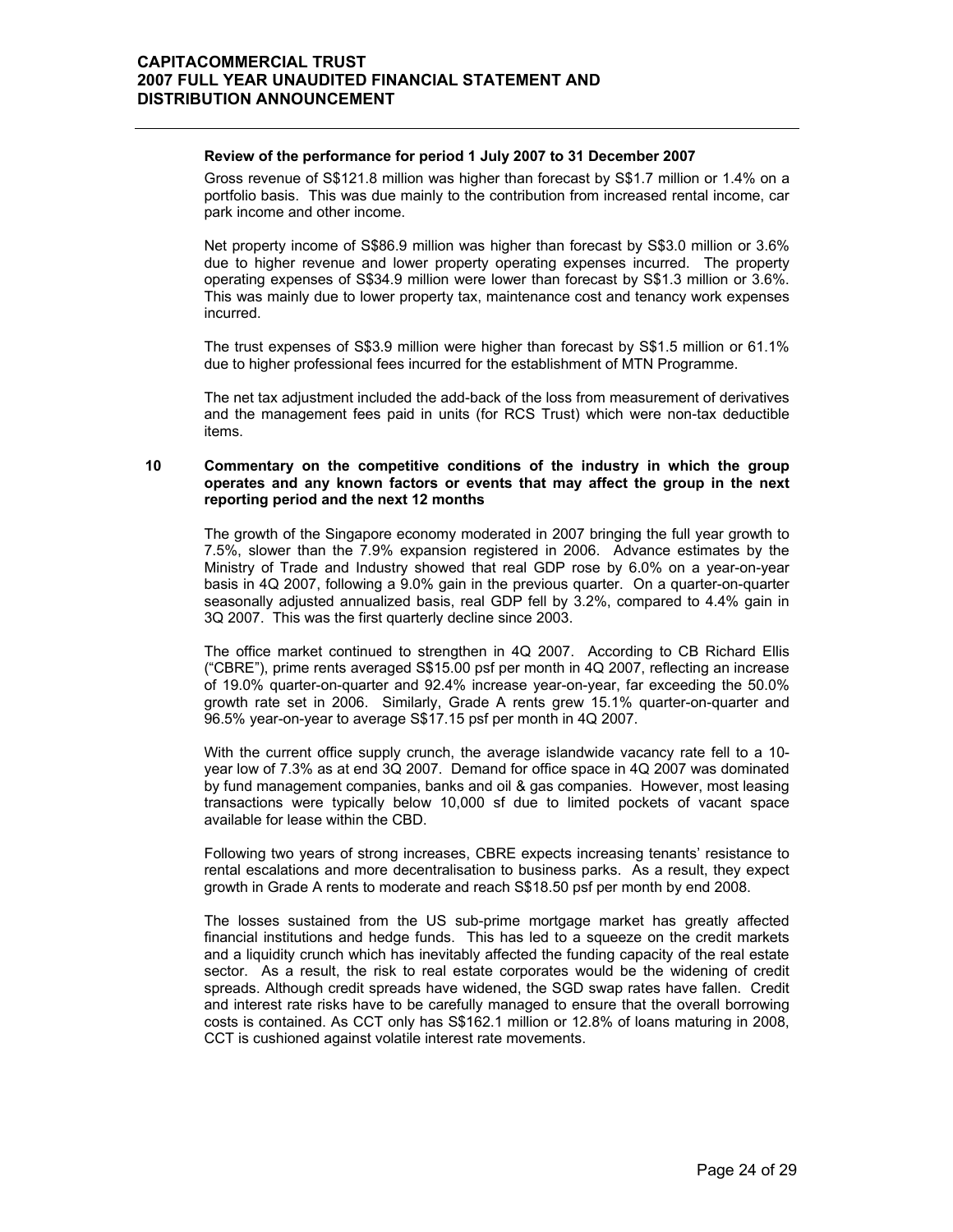#### **Review of the performance for period 1 July 2007 to 31 December 2007**

 Gross revenue of S\$121.8 million was higher than forecast by S\$1.7 million or 1.4% on a portfolio basis. This was due mainly to the contribution from increased rental income, car park income and other income.

Net property income of S\$86.9 million was higher than forecast by S\$3.0 million or 3.6% due to higher revenue and lower property operating expenses incurred. The property operating expenses of S\$34.9 million were lower than forecast by S\$1.3 million or 3.6%. This was mainly due to lower property tax, maintenance cost and tenancy work expenses incurred.

The trust expenses of S\$3.9 million were higher than forecast by S\$1.5 million or 61.1% due to higher professional fees incurred for the establishment of MTN Programme.

The net tax adjustment included the add-back of the loss from measurement of derivatives and the management fees paid in units (for RCS Trust) which were non-tax deductible items.

### **10 Commentary on the competitive conditions of the industry in which the group operates and any known factors or events that may affect the group in the next reporting period and the next 12 months**

 The growth of the Singapore economy moderated in 2007 bringing the full year growth to 7.5%, slower than the 7.9% expansion registered in 2006. Advance estimates by the Ministry of Trade and Industry showed that real GDP rose by 6.0% on a year-on-year basis in 4Q 2007, following a 9.0% gain in the previous quarter. On a quarter-on-quarter seasonally adjusted annualized basis, real GDP fell by 3.2%, compared to 4.4% gain in 3Q 2007. This was the first quarterly decline since 2003.

The office market continued to strengthen in 4Q 2007. According to CB Richard Ellis ("CBRE"), prime rents averaged S\$15.00 psf per month in 4Q 2007, reflecting an increase of 19.0% quarter-on-quarter and 92.4% increase year-on-year, far exceeding the 50.0% growth rate set in 2006. Similarly, Grade A rents grew 15.1% quarter-on-quarter and 96.5% year-on-year to average S\$17.15 psf per month in 4Q 2007.

With the current office supply crunch, the average islandwide vacancy rate fell to a 10year low of 7.3% as at end 3Q 2007. Demand for office space in 4Q 2007 was dominated by fund management companies, banks and oil & gas companies. However, most leasing transactions were typically below 10,000 sf due to limited pockets of vacant space available for lease within the CBD.

Following two years of strong increases, CBRE expects increasing tenants' resistance to rental escalations and more decentralisation to business parks. As a result, they expect growth in Grade A rents to moderate and reach S\$18.50 psf per month by end 2008.

The losses sustained from the US sub-prime mortgage market has greatly affected financial institutions and hedge funds. This has led to a squeeze on the credit markets and a liquidity crunch which has inevitably affected the funding capacity of the real estate sector. As a result, the risk to real estate corporates would be the widening of credit spreads. Although credit spreads have widened, the SGD swap rates have fallen. Credit and interest rate risks have to be carefully managed to ensure that the overall borrowing costs is contained. As CCT only has S\$162.1 million or 12.8% of loans maturing in 2008, CCT is cushioned against volatile interest rate movements.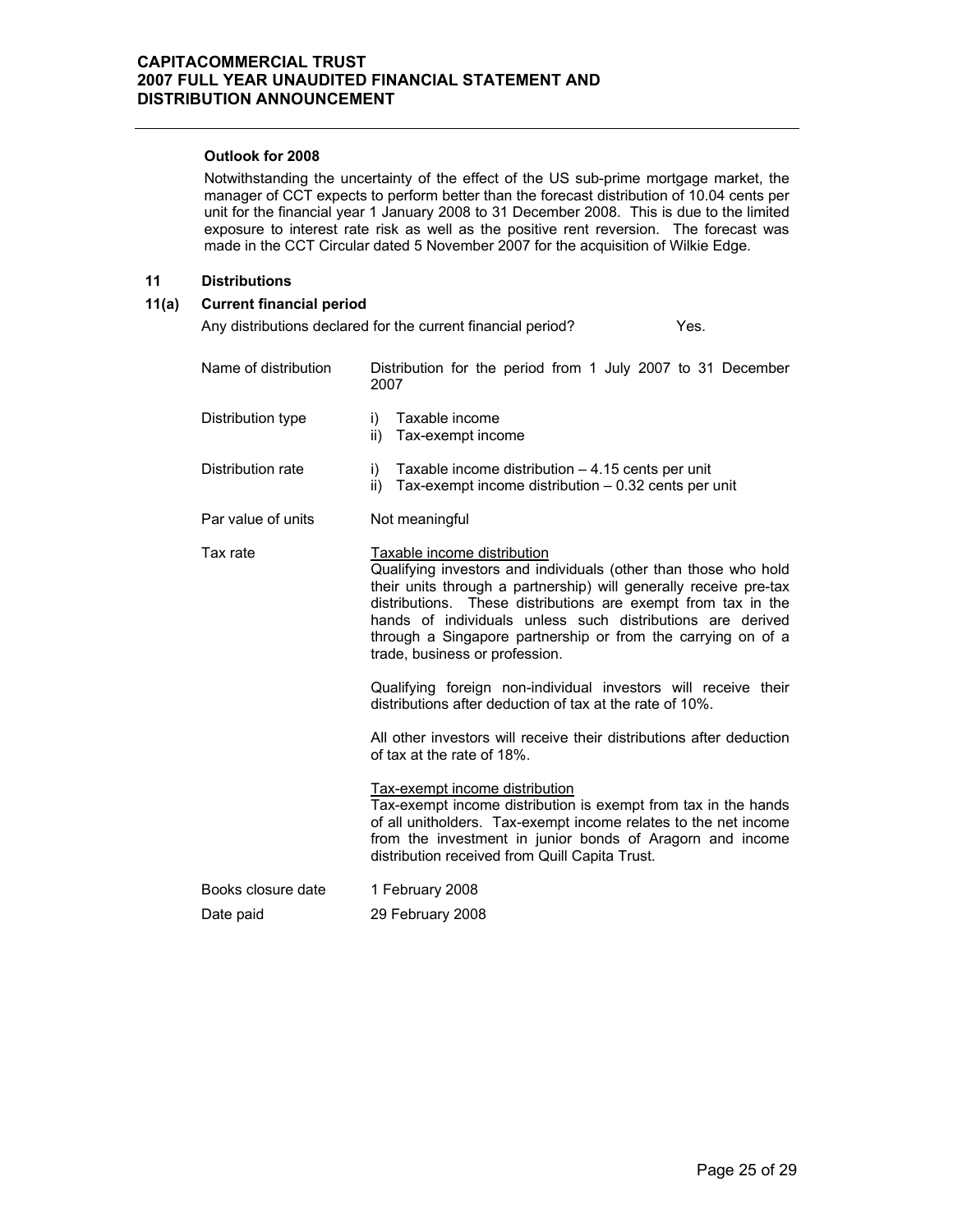### **Outlook for 2008**

 Notwithstanding the uncertainty of the effect of the US sub-prime mortgage market, the manager of CCT expects to perform better than the forecast distribution of 10.04 cents per unit for the financial year 1 January 2008 to 31 December 2008. This is due to the limited exposure to interest rate risk as well as the positive rent reversion. The forecast was made in the CCT Circular dated 5 November 2007 for the acquisition of Wilkie Edge.

### **11 Distributions**

### **11(a) Current financial period**

Any distributions declared for the current financial period? Yes.

| Name of distribution | Distribution for the period from 1 July 2007 to 31 December<br>2007                                                                                                                                                                                                                                                                                                                                     |
|----------------------|---------------------------------------------------------------------------------------------------------------------------------------------------------------------------------------------------------------------------------------------------------------------------------------------------------------------------------------------------------------------------------------------------------|
| Distribution type    | Taxable income<br>i)<br>Tax-exempt income<br>ii)                                                                                                                                                                                                                                                                                                                                                        |
| Distribution rate    | Taxable income distribution $-4.15$ cents per unit<br>i)<br>Tax-exempt income distribution $-0.32$ cents per unit<br>ii)                                                                                                                                                                                                                                                                                |
| Par value of units   | Not meaningful                                                                                                                                                                                                                                                                                                                                                                                          |
| Tax rate             | Taxable income distribution<br>Qualifying investors and individuals (other than those who hold<br>their units through a partnership) will generally receive pre-tax<br>These distributions are exempt from tax in the<br>distributions.<br>hands of individuals unless such distributions are derived<br>through a Singapore partnership or from the carrying on of a<br>trade, business or profession. |
|                      | Qualifying foreign non-individual investors will receive their<br>distributions after deduction of tax at the rate of 10%.                                                                                                                                                                                                                                                                              |
|                      | All other investors will receive their distributions after deduction<br>of tax at the rate of 18%.                                                                                                                                                                                                                                                                                                      |
|                      | Tax-exempt income distribution<br>Tax-exempt income distribution is exempt from tax in the hands<br>of all unitholders. Tax-exempt income relates to the net income<br>from the investment in junior bonds of Aragorn and income<br>distribution received from Quill Capita Trust.                                                                                                                      |
| Books closure date   | 1 February 2008                                                                                                                                                                                                                                                                                                                                                                                         |
| Date paid            | 29 February 2008                                                                                                                                                                                                                                                                                                                                                                                        |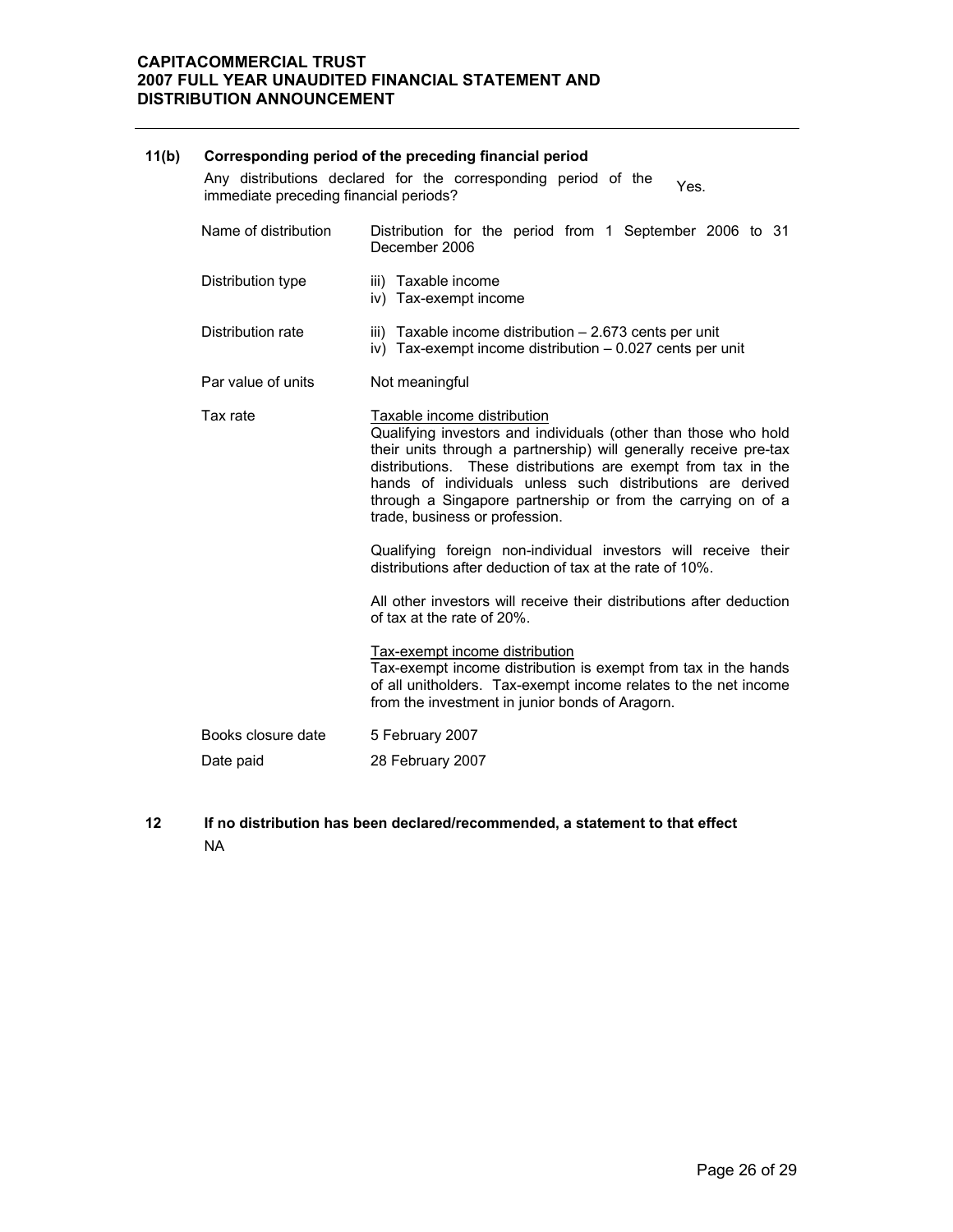# **11(b) Corresponding period of the preceding financial period** Any distributions declared for the corresponding period of the Any distributions declared for the corresponding period of the Yes.<br>immediate preceding financial periods? Name of distribution Distribution for the period from 1 September 2006 to 31 December 2006 Distribution type iii) Taxable income iv) Tax-exempt income Distribution rate iii) Taxable income distribution – 2.673 cents per unit iv) Tax-exempt income distribution – 0.027 cents per unit Par value of units Not meaningful Tax rate Taxable income distribution Qualifying investors and individuals (other than those who hold their units through a partnership) will generally receive pre-tax distributions. These distributions are exempt from tax in the hands of individuals unless such distributions are derived through a Singapore partnership or from the carrying on of a trade, business or profession. Qualifying foreign non-individual investors will receive their distributions after deduction of tax at the rate of 10%. All other investors will receive their distributions after deduction of tax at the rate of 20%. Tax-exempt income distribution Tax-exempt income distribution is exempt from tax in the hands of all unitholders. Tax-exempt income relates to the net income from the investment in junior bonds of Aragorn. Books closure date 5 February 2007 Date paid 28 February 2007

**12 If no distribution has been declared/recommended, a statement to that effect**  NA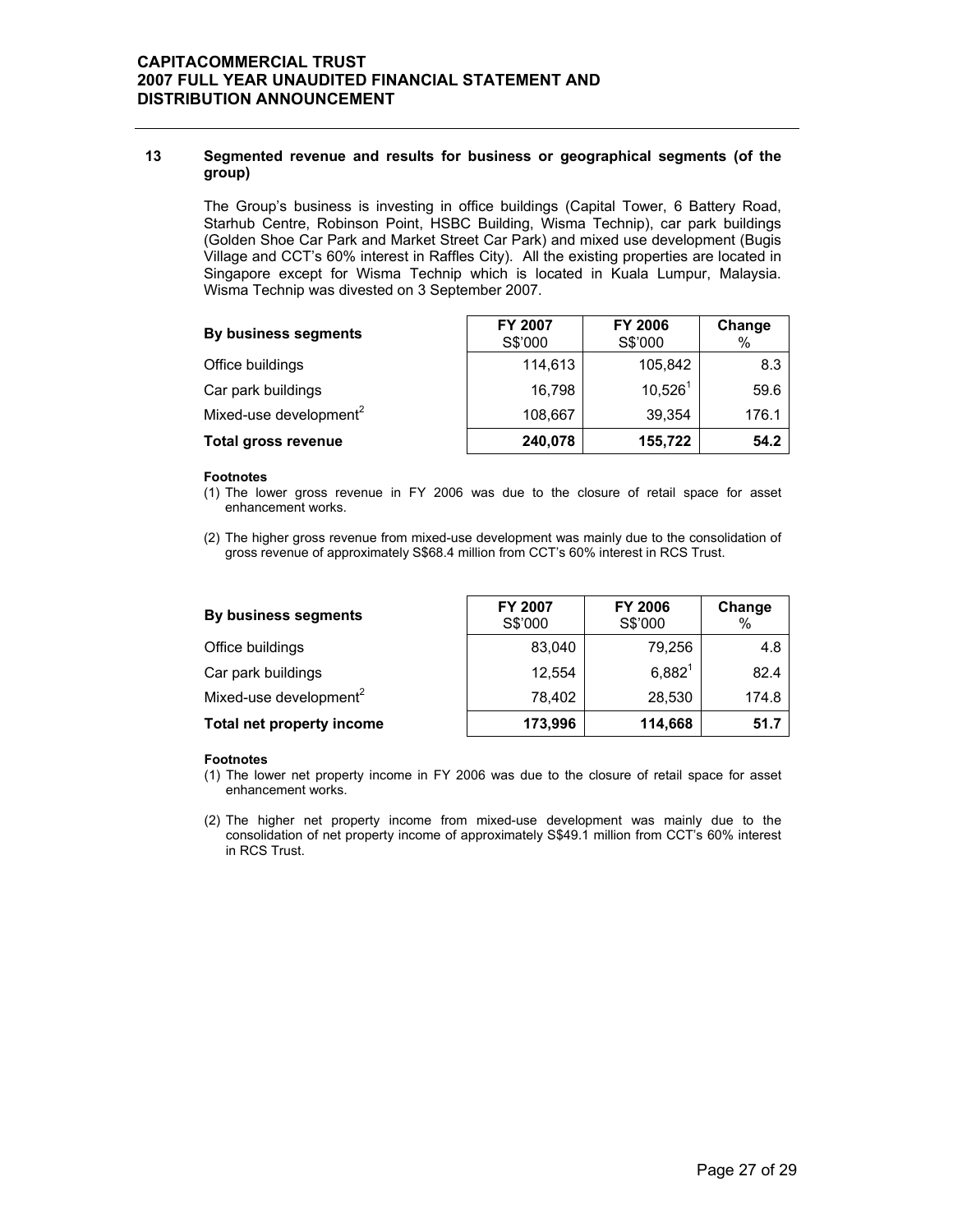### **13 Segmented revenue and results for business or geographical segments (of the group)**

The Group's business is investing in office buildings (Capital Tower, 6 Battery Road, Starhub Centre, Robinson Point, HSBC Building, Wisma Technip), car park buildings (Golden Shoe Car Park and Market Street Car Park) and mixed use development (Bugis Village and CCT's 60% interest in Raffles City). All the existing properties are located in Singapore except for Wisma Technip which is located in Kuala Lumpur, Malaysia. Wisma Technip was divested on 3 September 2007.

| By business segments               | FY 2007<br>S\$'000 | <b>FY 2006</b><br>S\$'000 | Change<br>% |
|------------------------------------|--------------------|---------------------------|-------------|
| Office buildings                   | 114,613            | 105,842                   | 8.3         |
| Car park buildings                 | 16,798             | $10,526^1$                | 59.6        |
| Mixed-use development <sup>2</sup> | 108,667            | 39,354                    | 176.1       |
| <b>Total gross revenue</b>         | 240,078            | 155,722                   | 54.2        |

#### **Footnotes**

- (1) The lower gross revenue in FY 2006 was due to the closure of retail space for asset enhancement works.
- (2) The higher gross revenue from mixed-use development was mainly due to the consolidation of gross revenue of approximately S\$68.4 million from CCT's 60% interest in RCS Trust.

| By business segments               | <b>FY 2007</b><br>S\$'000 | <b>FY 2006</b><br>S\$'000 | Change<br>$\%$ |
|------------------------------------|---------------------------|---------------------------|----------------|
| Office buildings                   | 83.040                    | 79,256                    | 4.8            |
| Car park buildings                 | 12.554                    | $6,882^{1}$               | 82.4           |
| Mixed-use development <sup>2</sup> | 78,402                    | 28,530                    | 174.8          |
| Total net property income          | 173,996                   | 114,668                   | 51.7           |

#### **Footnotes**

- (1) The lower net property income in FY 2006 was due to the closure of retail space for asset enhancement works.
- (2) The higher net property income from mixed-use development was mainly due to the consolidation of net property income of approximately S\$49.1 million from CCT's 60% interest in RCS Trust.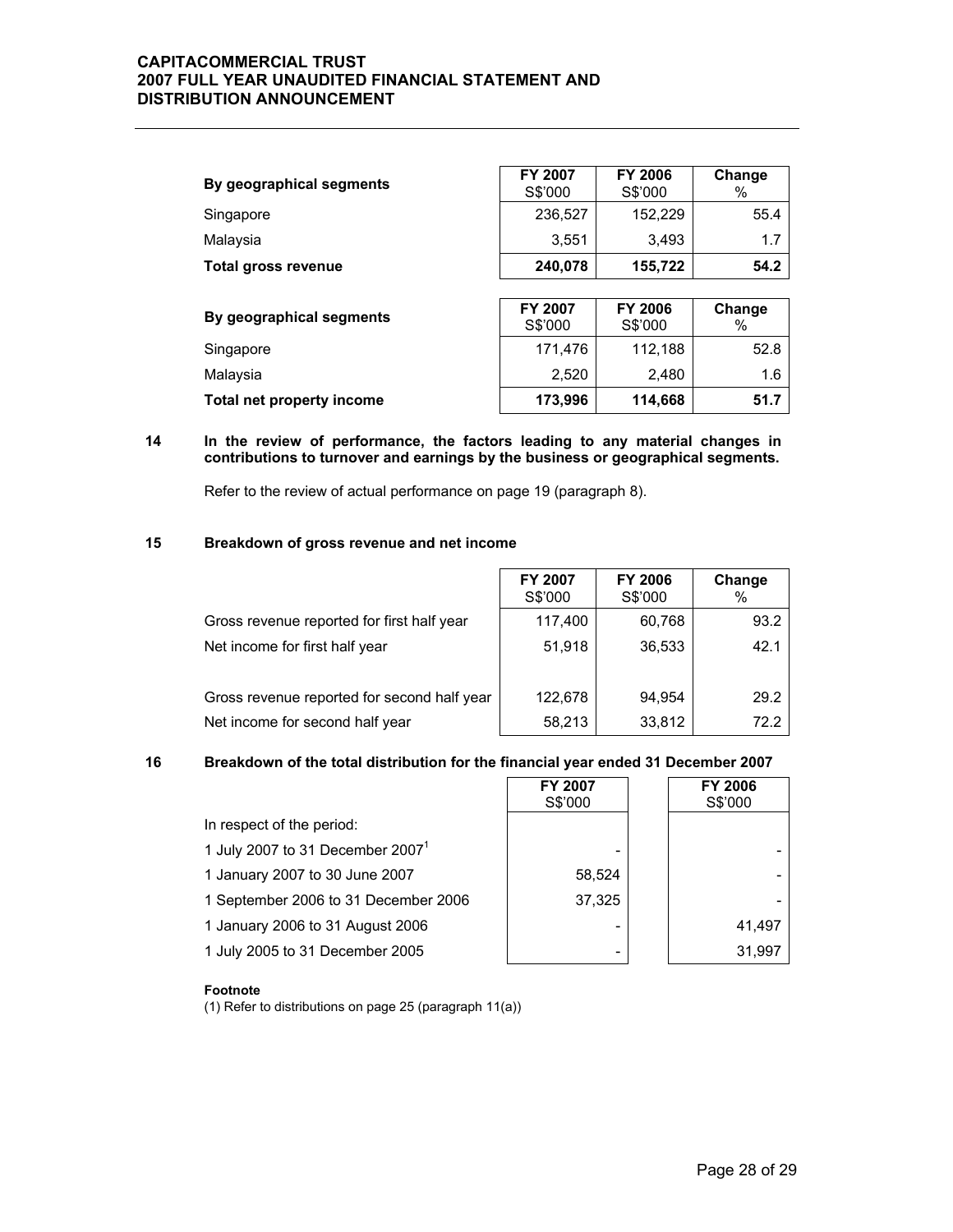| By geographical segments  | FY 2007<br>S\$'000 | <b>FY 2006</b><br>S\$'000 | Change<br>% |
|---------------------------|--------------------|---------------------------|-------------|
| Singapore                 | 236,527            | 152,229                   | 55.4        |
| Malaysia                  | 3,551              | 3,493                     | 1.7         |
| Total gross revenue       | 240,078            | 155,722                   | 54.2        |
|                           |                    |                           |             |
| By geographical segments  | FY 2007<br>S\$'000 | <b>FY 2006</b><br>S\$'000 | Change<br>% |
| Singapore                 | 171,476            | 112,188                   | 52.8        |
| Malaysia                  | 2,520              | 2,480                     | 1.6         |
| Total net property income | 173,996            | 114,668                   | 51.7        |

### **14 In the review of performance, the factors leading to any material changes in contributions to turnover and earnings by the business or geographical segments.**

Refer to the review of actual performance on page 19 (paragraph 8).

### **15 Breakdown of gross revenue and net income**

|                                             | FY 2007<br>S\$'000 | <b>FY 2006</b><br>S\$'000 | Change<br>% |
|---------------------------------------------|--------------------|---------------------------|-------------|
| Gross revenue reported for first half year  | 117,400            | 60,768                    | 93.2        |
| Net income for first half year              | 51,918             | 36,533                    | 42.1        |
| Gross revenue reported for second half year | 122,678            | 94.954                    | 29.2        |
| Net income for second half year             | 58,213             | 33,812                    | 72.2        |

## **16 Breakdown of the total distribution for the financial year ended 31 December 2007**

|                                      | FY 2007<br>S\$'000 | <b>FY 2006</b><br>S\$'000 |
|--------------------------------------|--------------------|---------------------------|
| In respect of the period:            |                    |                           |
| 1 July 2007 to 31 December $20071$   | -                  |                           |
| 1 January 2007 to 30 June 2007       | 58,524             |                           |
| 1 September 2006 to 31 December 2006 | 37,325             |                           |
| 1 January 2006 to 31 August 2006     |                    | 41.497                    |
| 1 July 2005 to 31 December 2005      | -                  | 31,997                    |

#### **Footnote**

(1) Refer to distributions on page 25 (paragraph 11(a))